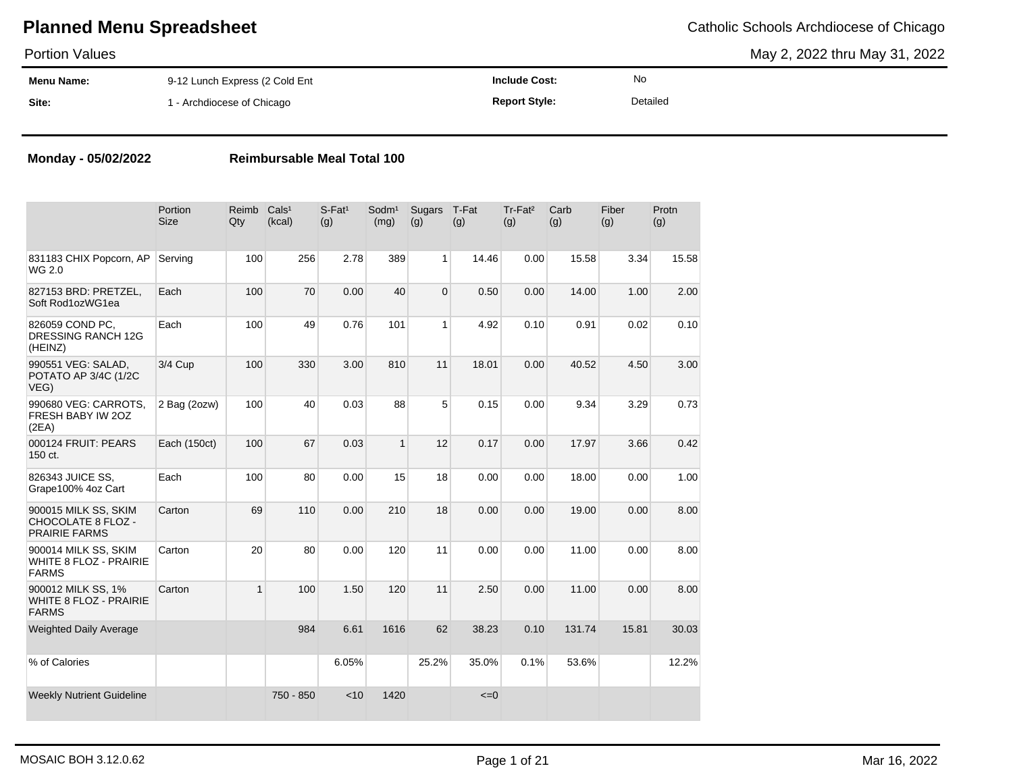May 2, 2022 thru May 31, 2022

| <b>Portion Values</b> |                                |                      |          | May 2, 2022 thru May 31, 2022 |
|-----------------------|--------------------------------|----------------------|----------|-------------------------------|
| <b>Menu Name:</b>     | 9-12 Lunch Express (2 Cold Ent | <b>Include Cost:</b> | No       |                               |
| Site:                 | I - Archdiocese of Chicago     | <b>Report Style:</b> | Detailed |                               |

#### **Monday - 05/02/2022 Reimbursable Meal Total 100**

|                                                                       | Portion<br>Size | Reimb<br>Qty | Cals <sup>1</sup><br>(kcal) | $S-Fat1$<br>(g) | Sodm <sup>1</sup><br>(mg) | Sugars<br>(g)  | T-Fat<br>(g) | Tr-Fat <sup>2</sup><br>(g) | Carb<br>(g) | Fiber<br>(g) | Protn<br>(g) |
|-----------------------------------------------------------------------|-----------------|--------------|-----------------------------|-----------------|---------------------------|----------------|--------------|----------------------------|-------------|--------------|--------------|
| 831183 CHIX Popcorn, AP<br>WG 2.0                                     | Serving         | 100          | 256                         | 2.78            | 389                       | 1              | 14.46        | 0.00                       | 15.58       | 3.34         | 15.58        |
| 827153 BRD: PRETZEL,<br>Soft Rod1ozWG1ea                              | Each            | 100          | 70                          | 0.00            | 40                        | $\overline{0}$ | 0.50         | 0.00                       | 14.00       | 1.00         | 2.00         |
| 826059 COND PC,<br>DRESSING RANCH 12G<br>(HEINZ)                      | Each            | 100          | 49                          | 0.76            | 101                       | 1 <sup>1</sup> | 4.92         | 0.10                       | 0.91        | 0.02         | 0.10         |
| 990551 VEG: SALAD,<br>POTATO AP 3/4C (1/2C<br>VEG)                    | 3/4 Cup         | 100          | 330                         | 3.00            | 810                       | 11             | 18.01        | 0.00                       | 40.52       | 4.50         | 3.00         |
| 990680 VEG: CARROTS,<br>FRESH BABY IW 20Z<br>(2EA)                    | 2 Bag (2ozw)    | 100          | 40                          | 0.03            | 88                        | 5              | 0.15         | 0.00                       | 9.34        | 3.29         | 0.73         |
| 000124 FRUIT: PEARS<br>150 ct.                                        | Each (150ct)    | 100          | 67                          | 0.03            | $\mathbf{1}$              | 12             | 0.17         | 0.00                       | 17.97       | 3.66         | 0.42         |
| 826343 JUICE SS,<br>Grape100% 4oz Cart                                | Each            | 100          | 80                          | 0.00            | 15                        | 18             | 0.00         | 0.00                       | 18.00       | 0.00         | 1.00         |
| 900015 MILK SS, SKIM<br>CHOCOLATE 8 FLOZ -<br><b>PRAIRIE FARMS</b>    | Carton          | 69           | 110                         | 0.00            | 210                       | 18             | 0.00         | 0.00                       | 19.00       | 0.00         | 8.00         |
| 900014 MILK SS, SKIM<br><b>WHITE 8 FLOZ - PRAIRIE</b><br><b>FARMS</b> | Carton          | 20           | 80                          | 0.00            | 120                       | 11             | 0.00         | 0.00                       | 11.00       | 0.00         | 8.00         |
| 900012 MILK SS, 1%<br><b>WHITE 8 FLOZ - PRAIRIE</b><br><b>FARMS</b>   | Carton          | 1            | 100                         | 1.50            | 120                       | 11             | 2.50         | 0.00                       | 11.00       | 0.00         | 8.00         |
| <b>Weighted Daily Average</b>                                         |                 |              | 984                         | 6.61            | 1616                      | 62             | 38.23        | 0.10                       | 131.74      | 15.81        | 30.03        |
| % of Calories                                                         |                 |              |                             | 6.05%           |                           | 25.2%          | 35.0%        | 0.1%                       | 53.6%       |              | 12.2%        |
| <b>Weekly Nutrient Guideline</b>                                      |                 |              | 750 - 850                   | < 10            | 1420                      |                | $\leq=0$     |                            |             |              |              |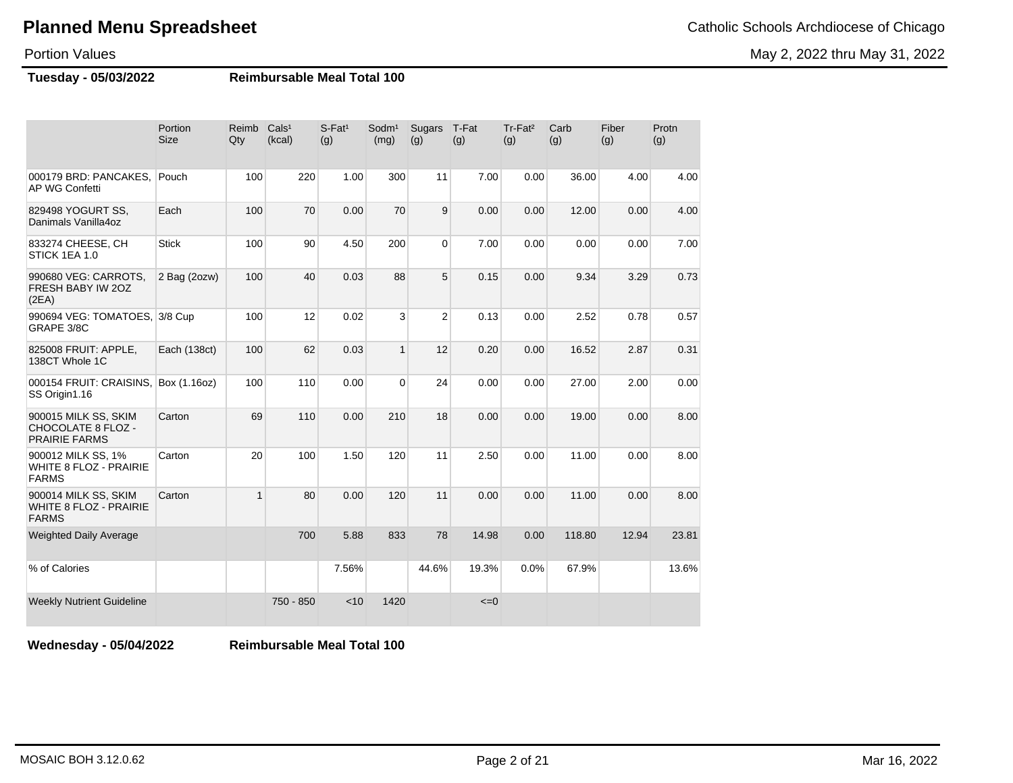May 2, 2022 thru May 31, 2022

### Portion Values

**Tuesday - 05/03/2022 Reimbursable Meal Total 100**

|                                                                           | Portion<br><b>Size</b> | Reimb<br>Qty | Cals <sup>1</sup><br>(kcal) | $S$ -Fat <sup>1</sup><br>(g) | Sodm <sup>1</sup><br>(mg) | Sugars<br>(g)  | T-Fat<br>(g) | Tr-Fat <sup>2</sup><br>(g) | Carb<br>(g) | Fiber<br>(g) | Protn<br>(g) |
|---------------------------------------------------------------------------|------------------------|--------------|-----------------------------|------------------------------|---------------------------|----------------|--------------|----------------------------|-------------|--------------|--------------|
| 000179 BRD: PANCAKES.<br>AP WG Confetti                                   | Pouch                  | 100          | 220                         | 1.00                         | 300                       | 11             | 7.00         | 0.00                       | 36.00       | 4.00         | 4.00         |
| 829498 YOGURT SS,<br>Danimals Vanilla4oz                                  | Each                   | 100          | 70                          | 0.00                         | 70                        | 9              | 0.00         | 0.00                       | 12.00       | 0.00         | 4.00         |
| 833274 CHEESE, CH<br>STICK 1EA 1.0                                        | <b>Stick</b>           | 100          | 90                          | 4.50                         | 200                       | $\overline{0}$ | 7.00         | 0.00                       | 0.00        | 0.00         | 7.00         |
| 990680 VEG: CARROTS,<br>FRESH BABY IW 2OZ<br>(2EA)                        | 2 Bag (2ozw)           | 100          | 40                          | 0.03                         | 88                        | 5              | 0.15         | 0.00                       | 9.34        | 3.29         | 0.73         |
| 990694 VEG: TOMATOES, 3/8 Cup<br>GRAPE 3/8C                               |                        | 100          | 12                          | 0.02                         | 3                         | $\overline{c}$ | 0.13         | 0.00                       | 2.52        | 0.78         | 0.57         |
| 825008 FRUIT: APPLE,<br>138CT Whole 1C                                    | Each (138ct)           | 100          | 62                          | 0.03                         | $\mathbf{1}$              | 12             | 0.20         | 0.00                       | 16.52       | 2.87         | 0.31         |
| 000154 FRUIT: CRAISINS,<br>SS Origin1.16                                  | Box (1.16oz)           | 100          | 110                         | 0.00                         | $\Omega$                  | 24             | 0.00         | 0.00                       | 27.00       | 2.00         | 0.00         |
| 900015 MILK SS, SKIM<br><b>CHOCOLATE 8 FLOZ -</b><br><b>PRAIRIE FARMS</b> | Carton                 | 69           | 110                         | 0.00                         | 210                       | 18             | 0.00         | 0.00                       | 19.00       | 0.00         | 8.00         |
| 900012 MILK SS, 1%<br><b>WHITE 8 FLOZ - PRAIRIE</b><br><b>FARMS</b>       | Carton                 | 20           | 100                         | 1.50                         | 120                       | 11             | 2.50         | 0.00                       | 11.00       | 0.00         | 8.00         |
| 900014 MILK SS, SKIM<br><b>WHITE 8 FLOZ - PRAIRIE</b><br><b>FARMS</b>     | Carton                 | $\mathbf{1}$ | 80                          | 0.00                         | 120                       | 11             | 0.00         | 0.00                       | 11.00       | 0.00         | 8.00         |
| <b>Weighted Daily Average</b>                                             |                        |              | 700                         | 5.88                         | 833                       | 78             | 14.98        | 0.00                       | 118.80      | 12.94        | 23.81        |
| % of Calories                                                             |                        |              |                             | 7.56%                        |                           | 44.6%          | 19.3%        | 0.0%                       | 67.9%       |              | 13.6%        |
| <b>Weekly Nutrient Guideline</b>                                          |                        |              | 750 - 850                   | < 10                         | 1420                      |                | $\leq=0$     |                            |             |              |              |

**Wednesday - 05/04/2022 Reimbursable Meal Total 100**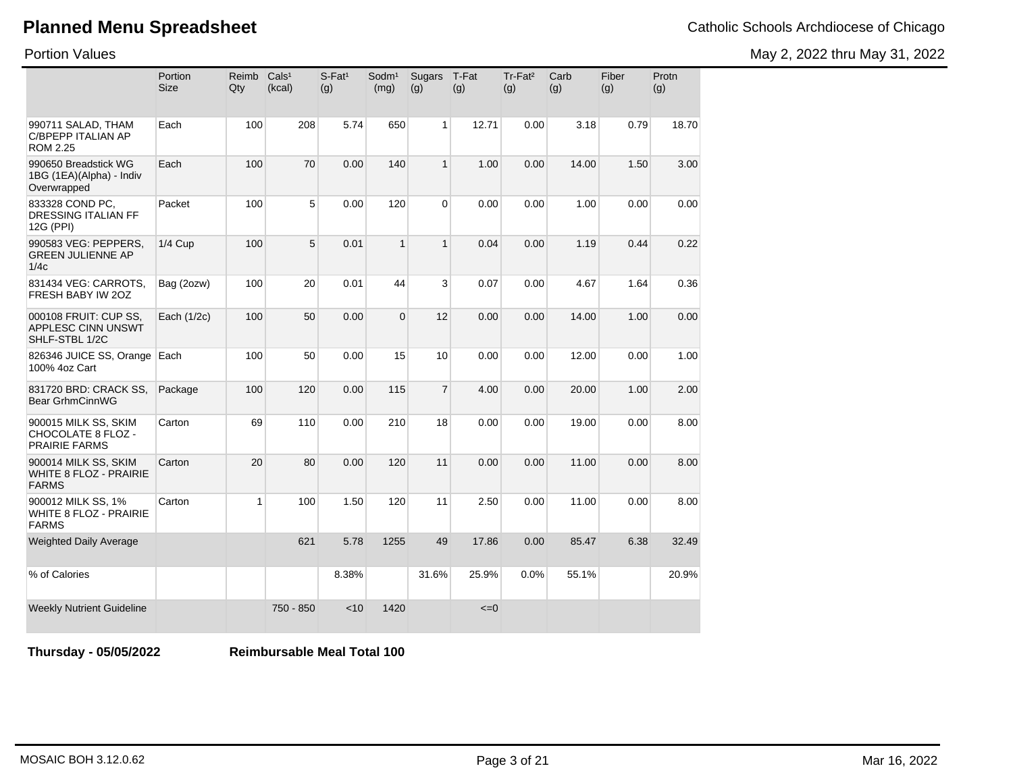Portion Values

May 2, 2022 thru May 31, 2022

|                                                                       | Portion<br><b>Size</b> | Reimb<br>Qty | Cals <sup>1</sup><br>(kcal) | $S$ -Fat <sup>1</sup><br>(g) | Sodm <sup>1</sup><br>(mg) | <b>Sugars</b><br>(g) | T-Fat<br>(g) | Tr-Fat <sup>2</sup><br>(g) | Carb<br>(g) | Fiber<br>(g) | Protn<br>(g) |
|-----------------------------------------------------------------------|------------------------|--------------|-----------------------------|------------------------------|---------------------------|----------------------|--------------|----------------------------|-------------|--------------|--------------|
| 990711 SALAD, THAM<br>C/BPEPP ITALIAN AP<br><b>ROM 2.25</b>           | Each                   | 100          | 208                         | 5.74                         | 650                       | 1                    | 12.71        | 0.00                       | 3.18        | 0.79         | 18.70        |
| 990650 Breadstick WG<br>1BG (1EA)(Alpha) - Indiv<br>Overwrapped       | Each                   | 100          | 70                          | 0.00                         | 140                       | $\overline{1}$       | 1.00         | 0.00                       | 14.00       | 1.50         | 3.00         |
| 833328 COND PC,<br>DRESSING ITALIAN FF<br>12G (PPI)                   | Packet                 | 100          | 5                           | 0.00                         | 120                       | $\Omega$             | 0.00         | 0.00                       | 1.00        | 0.00         | 0.00         |
| 990583 VEG: PEPPERS,<br><b>GREEN JULIENNE AP</b><br>1/4c              | <b>1/4 Cup</b>         | 100          | 5                           | 0.01                         | $\mathbf{1}$              | $\mathbf{1}$         | 0.04         | 0.00                       | 1.19        | 0.44         | 0.22         |
| 831434 VEG: CARROTS,<br>FRESH BABY IW 20Z                             | Bag (2ozw)             | 100          | 20                          | 0.01                         | 44                        | 3                    | 0.07         | 0.00                       | 4.67        | 1.64         | 0.36         |
| 000108 FRUIT: CUP SS,<br>APPLESC CINN UNSWT<br>SHLF-STBL 1/2C         | Each (1/2c)            | 100          | 50                          | 0.00                         | $\mathbf 0$               | 12                   | 0.00         | 0.00                       | 14.00       | 1.00         | 0.00         |
| 826346 JUICE SS, Orange<br>100% 4oz Cart                              | Each                   | 100          | 50                          | 0.00                         | 15                        | 10                   | 0.00         | 0.00                       | 12.00       | 0.00         | 1.00         |
| 831720 BRD: CRACK SS,<br>Bear GrhmCinnWG                              | Package                | 100          | 120                         | 0.00                         | 115                       | $\overline{7}$       | 4.00         | 0.00                       | 20.00       | 1.00         | 2.00         |
| 900015 MILK SS, SKIM<br>CHOCOLATE 8 FLOZ -<br><b>PRAIRIE FARMS</b>    | Carton                 | 69           | 110                         | 0.00                         | 210                       | 18                   | 0.00         | 0.00                       | 19.00       | 0.00         | 8.00         |
| 900014 MILK SS, SKIM<br><b>WHITE 8 FLOZ - PRAIRIE</b><br><b>FARMS</b> | Carton                 | 20           | 80                          | 0.00                         | 120                       | 11                   | 0.00         | 0.00                       | 11.00       | 0.00         | 8.00         |
| 900012 MILK SS, 1%<br><b>WHITE 8 FLOZ - PRAIRIE</b><br><b>FARMS</b>   | Carton                 | $\mathbf{1}$ | 100                         | 1.50                         | 120                       | 11                   | 2.50         | 0.00                       | 11.00       | 0.00         | 8.00         |
| <b>Weighted Daily Average</b>                                         |                        |              | 621                         | 5.78                         | 1255                      | 49                   | 17.86        | 0.00                       | 85.47       | 6.38         | 32.49        |
| % of Calories                                                         |                        |              |                             | 8.38%                        |                           | 31.6%                | 25.9%        | 0.0%                       | 55.1%       |              | 20.9%        |
| <b>Weekly Nutrient Guideline</b>                                      |                        |              | 750 - 850                   | $<$ 10                       | 1420                      |                      | $\leq=0$     |                            |             |              |              |

**Thursday - 05/05/2022 Reimbursable Meal Total 100**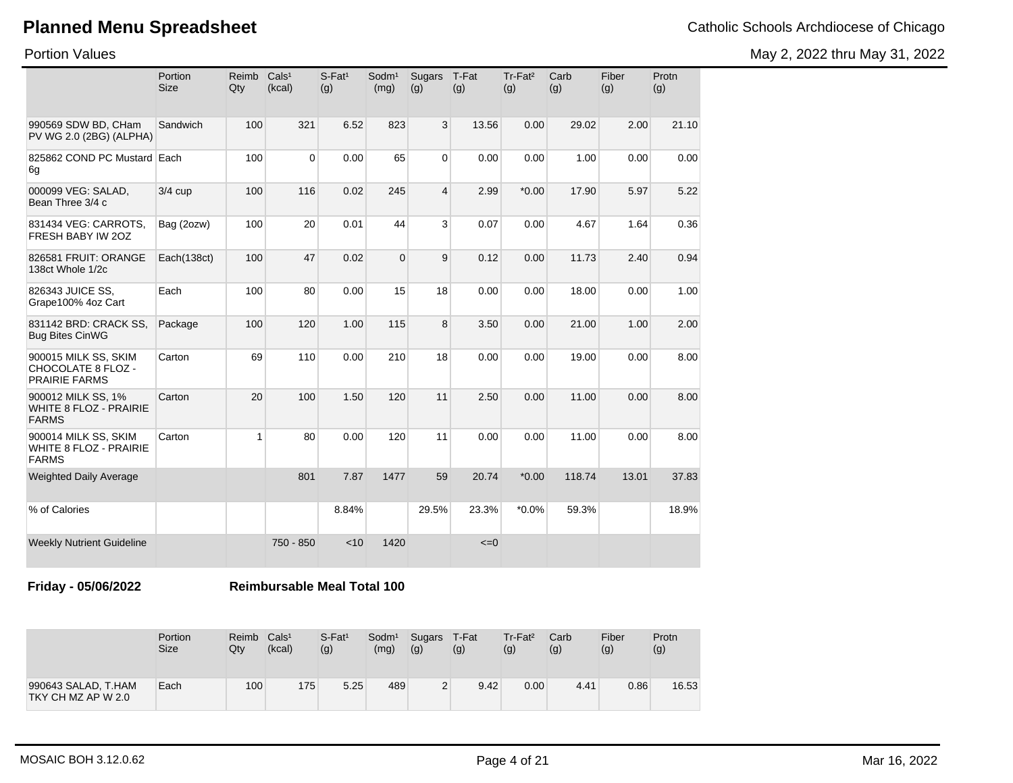May 2, 2022 thru May 31, 2022

Portion Values

|                                                                       | Portion<br><b>Size</b> | Reimb<br>Qty | Cals <sup>1</sup><br>(kcal) | S-Fat <sup>1</sup><br>(g) | Sodm <sup>1</sup><br>(mg) | Sugars<br>(g) | T-Fat<br>(g) | Tr-Fat <sup>2</sup><br>(g) | Carb<br>(g) | Fiber<br>(g) | Protn<br>(g) |
|-----------------------------------------------------------------------|------------------------|--------------|-----------------------------|---------------------------|---------------------------|---------------|--------------|----------------------------|-------------|--------------|--------------|
| 990569 SDW BD, CHam<br>PV WG 2.0 (2BG) (ALPHA)                        | Sandwich               | 100          | 321                         | 6.52                      | 823                       | 3             | 13.56        | 0.00                       | 29.02       | 2.00         | 21.10        |
| 825862 COND PC Mustard Each<br>6g                                     |                        | 100          | 0                           | 0.00                      | 65                        | $\Omega$      | 0.00         | 0.00                       | 1.00        | 0.00         | 0.00         |
| 000099 VEG: SALAD,<br>Bean Three 3/4 c                                | $3/4$ cup              | 100          | 116                         | 0.02                      | 245                       | 4             | 2.99         | $*0.00$                    | 17.90       | 5.97         | 5.22         |
| 831434 VEG: CARROTS,<br>FRESH BABY IW 20Z                             | Bag (2ozw)             | 100          | 20                          | 0.01                      | 44                        | 3             | 0.07         | 0.00                       | 4.67        | 1.64         | 0.36         |
| 826581 FRUIT: ORANGE<br>138ct Whole 1/2c                              | Each(138ct)            | 100          | 47                          | 0.02                      | $\Omega$                  | 9             | 0.12         | 0.00                       | 11.73       | 2.40         | 0.94         |
| 826343 JUICE SS,<br>Grape100% 4oz Cart                                | Each                   | 100          | 80                          | 0.00                      | 15                        | 18            | 0.00         | 0.00                       | 18.00       | 0.00         | 1.00         |
| 831142 BRD: CRACK SS,<br><b>Bug Bites CinWG</b>                       | Package                | 100          | 120                         | 1.00                      | 115                       | 8             | 3.50         | 0.00                       | 21.00       | 1.00         | 2.00         |
| 900015 MILK SS, SKIM<br>CHOCOLATE 8 FLOZ -<br><b>PRAIRIE FARMS</b>    | Carton                 | 69           | 110                         | 0.00                      | 210                       | 18            | 0.00         | 0.00                       | 19.00       | 0.00         | 8.00         |
| 900012 MILK SS, 1%<br><b>WHITE 8 FLOZ - PRAIRIE</b><br><b>FARMS</b>   | Carton                 | 20           | 100                         | 1.50                      | 120                       | 11            | 2.50         | 0.00                       | 11.00       | 0.00         | 8.00         |
| 900014 MILK SS, SKIM<br><b>WHITE 8 FLOZ - PRAIRIE</b><br><b>FARMS</b> | Carton                 | $\mathbf{1}$ | 80                          | 0.00                      | 120                       | 11            | 0.00         | 0.00                       | 11.00       | 0.00         | 8.00         |
| <b>Weighted Daily Average</b>                                         |                        |              | 801                         | 7.87                      | 1477                      | 59            | 20.74        | $*0.00$                    | 118.74      | 13.01        | 37.83        |
| % of Calories                                                         |                        |              |                             | 8.84%                     |                           | 29.5%         | 23.3%        | $*0.0\%$                   | 59.3%       |              | 18.9%        |
| <b>Weekly Nutrient Guideline</b>                                      |                        |              | 750 - 850                   | < 10                      | 1420                      |               | $\leq=0$     |                            |             |              |              |

**Friday - 05/06/2022 Reimbursable Meal Total 100**

|                                           | Portion<br><b>Size</b> | Reimb<br>Qty | Cals <sup>1</sup><br>(kcal) | $S$ -Fat <sup>1</sup><br>(g) | Sodm <sup>1</sup><br>(mg) | Sugars T-Fat<br>(g) | (g)  | $Tr-Fat2$<br>(g) | Carb<br>(g) | Fiber<br>(g) | Protn<br>(g) |
|-------------------------------------------|------------------------|--------------|-----------------------------|------------------------------|---------------------------|---------------------|------|------------------|-------------|--------------|--------------|
| 990643 SALAD, T.HAM<br>TKY CH MZ AP W 2.0 | Each                   | 100          | 175                         | 5.25                         | 489                       | 2                   | 9.42 | 0.00             | 4.41        | 0.86         | 16.53        |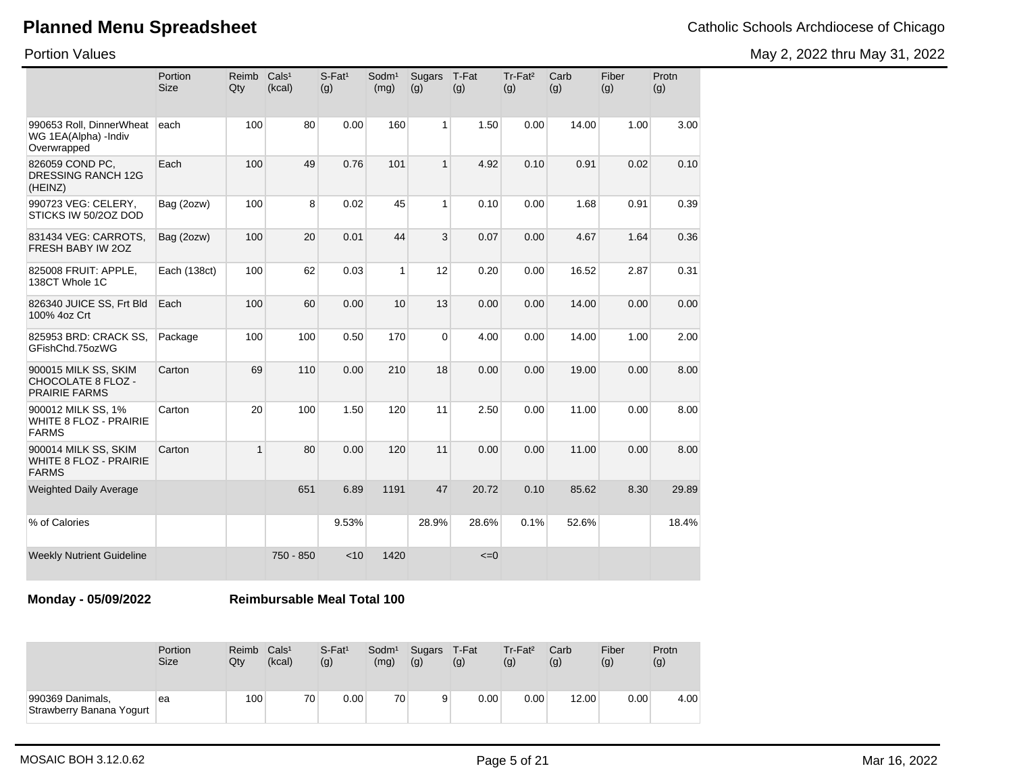Portion Values

May 2, 2022 thru May 31, 2022

|                                                                     | Portion<br><b>Size</b> | Reimb<br>Qty | Cals <sup>1</sup><br>(kcal) | $S-Fat1$<br>(g) | Sodm <sup>1</sup><br>(mg) | <b>Sugars</b><br>(g) | T-Fat<br>(g) | Tr-Fat <sup>2</sup><br>(g) | Carb<br>(g) | Fiber<br>(g) | Protn<br>(g) |
|---------------------------------------------------------------------|------------------------|--------------|-----------------------------|-----------------|---------------------------|----------------------|--------------|----------------------------|-------------|--------------|--------------|
| 990653 Roll, DinnerWheat<br>WG 1EA(Alpha) -Indiv<br>Overwrapped     | each                   | 100          | 80                          | 0.00            | 160                       | 1                    | 1.50         | 0.00                       | 14.00       | 1.00         | 3.00         |
| 826059 COND PC,<br><b>DRESSING RANCH 12G</b><br>(HEINZ)             | Each                   | 100          | 49                          | 0.76            | 101                       | $\mathbf{1}$         | 4.92         | 0.10                       | 0.91        | 0.02         | 0.10         |
| 990723 VEG: CELERY,<br>STICKS IW 50/2OZ DOD                         | Bag (2ozw)             | 100          | 8                           | 0.02            | 45                        | 1                    | 0.10         | 0.00                       | 1.68        | 0.91         | 0.39         |
| 831434 VEG: CARROTS,<br>FRESH BABY IW 20Z                           | Bag (2ozw)             | 100          | 20                          | 0.01            | 44                        | 3                    | 0.07         | 0.00                       | 4.67        | 1.64         | 0.36         |
| 825008 FRUIT: APPLE,<br>138CT Whole 1C                              | Each (138ct)           | 100          | 62                          | 0.03            | $\mathbf{1}$              | 12                   | 0.20         | 0.00                       | 16.52       | 2.87         | 0.31         |
| 826340 JUICE SS, Frt Bld<br>100% 4oz Crt                            | Each                   | 100          | 60                          | 0.00            | 10                        | 13                   | 0.00         | 0.00                       | 14.00       | 0.00         | 0.00         |
| 825953 BRD: CRACK SS,<br>GFishChd.75ozWG                            | Package                | 100          | 100                         | 0.50            | 170                       | $\Omega$             | 4.00         | 0.00                       | 14.00       | 1.00         | 2.00         |
| 900015 MILK SS, SKIM<br>CHOCOLATE 8 FLOZ -<br><b>PRAIRIE FARMS</b>  | Carton                 | 69           | 110                         | 0.00            | 210                       | 18                   | 0.00         | 0.00                       | 19.00       | 0.00         | 8.00         |
| 900012 MILK SS, 1%<br><b>WHITE 8 FLOZ - PRAIRIE</b><br><b>FARMS</b> | Carton                 | 20           | 100                         | 1.50            | 120                       | 11                   | 2.50         | 0.00                       | 11.00       | 0.00         | 8.00         |
| 900014 MILK SS, SKIM<br>WHITE 8 FLOZ - PRAIRIE<br><b>FARMS</b>      | Carton                 | $\mathbf{1}$ | 80                          | 0.00            | 120                       | 11                   | 0.00         | 0.00                       | 11.00       | 0.00         | 8.00         |
| <b>Weighted Daily Average</b>                                       |                        |              | 651                         | 6.89            | 1191                      | 47                   | 20.72        | 0.10                       | 85.62       | 8.30         | 29.89        |
| % of Calories                                                       |                        |              |                             | 9.53%           |                           | 28.9%                | 28.6%        | 0.1%                       | 52.6%       |              | 18.4%        |
| <b>Weekly Nutrient Guideline</b>                                    |                        |              | 750 - 850                   | < 10            | 1420                      |                      | $\leq=0$     |                            |             |              |              |

**Monday - 05/09/2022 Reimbursable Meal Total 100**

|                                              | Portion     | <b>Reimb</b> | Cals <sup>1</sup> | $S$ -Fat <sup>1</sup> | Sodm <sup>1</sup> | Sugars | T-Fat | Tr-Fat <sup>2</sup> | Carb  | Fiber | Protn |
|----------------------------------------------|-------------|--------------|-------------------|-----------------------|-------------------|--------|-------|---------------------|-------|-------|-------|
|                                              | <b>Size</b> | Qty          | (kcal)            | (g)                   | (mg)              | (g)    | (g)   | (g)                 | (g)   | (g)   | (g)   |
| 990369 Danimals,<br>Strawberry Banana Yogurt | ea          | 100          | 70 <sub>1</sub>   | 0.00                  | 70 <sub>1</sub>   | 9      | 0.00  | 0.00                | 12.00 | 0.00  | 4.00  |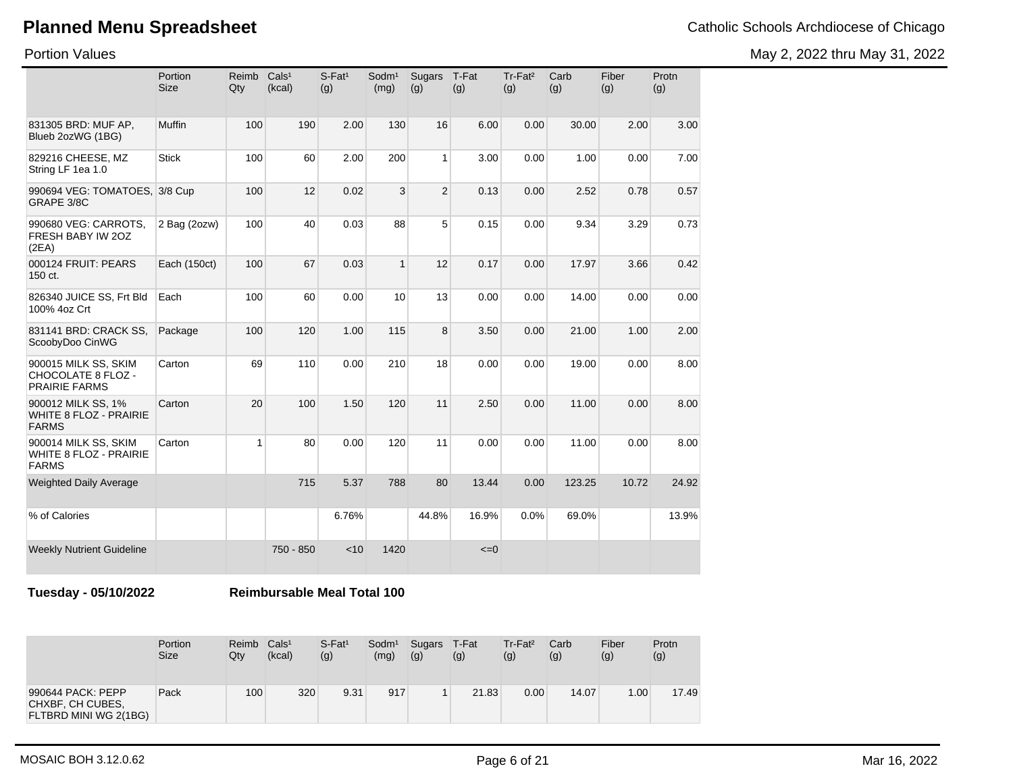May 2, 2022 thru May 31, 2022

Portion Values

|                                                                       | Portion<br><b>Size</b> | Reimb<br>Qty | Cals <sup>1</sup><br>(kcal) | S-Fat <sup>1</sup><br>(g) | Sodm <sup>1</sup><br>(mg) | Sugars<br>(g)  | T-Fat<br>(g) | Tr-Fat <sup>2</sup><br>(g) | Carb<br>(g) | Fiber<br>(g) | Protn<br>(g) |
|-----------------------------------------------------------------------|------------------------|--------------|-----------------------------|---------------------------|---------------------------|----------------|--------------|----------------------------|-------------|--------------|--------------|
| 831305 BRD: MUF AP,<br>Blueb 2ozWG (1BG)                              | Muffin                 | 100          | 190                         | 2.00                      | 130                       | 16             | 6.00         | 0.00                       | 30.00       | 2.00         | 3.00         |
| 829216 CHEESE, MZ<br>String LF 1ea 1.0                                | <b>Stick</b>           | 100          | 60                          | 2.00                      | 200                       | $\mathbf{1}$   | 3.00         | 0.00                       | 1.00        | 0.00         | 7.00         |
| 990694 VEG: TOMATOES, 3/8 Cup<br>GRAPE 3/8C                           |                        | 100          | 12                          | 0.02                      | 3                         | $\overline{2}$ | 0.13         | 0.00                       | 2.52        | 0.78         | 0.57         |
| 990680 VEG: CARROTS,<br>FRESH BABY IW 20Z<br>(2EA)                    | 2 Bag (2ozw)           | 100          | 40                          | 0.03                      | 88                        | 5              | 0.15         | 0.00                       | 9.34        | 3.29         | 0.73         |
| 000124 FRUIT: PEARS<br>150 ct.                                        | Each (150ct)           | 100          | 67                          | 0.03                      | $\mathbf{1}$              | 12             | 0.17         | 0.00                       | 17.97       | 3.66         | 0.42         |
| 826340 JUICE SS, Frt Bld<br>100% 4oz Crt                              | Each                   | 100          | 60                          | 0.00                      | 10                        | 13             | 0.00         | 0.00                       | 14.00       | 0.00         | 0.00         |
| 831141 BRD: CRACK SS,<br>ScoobyDoo CinWG                              | Package                | 100          | 120                         | 1.00                      | 115                       | 8              | 3.50         | 0.00                       | 21.00       | 1.00         | 2.00         |
| 900015 MILK SS, SKIM<br>CHOCOLATE 8 FLOZ -<br><b>PRAIRIE FARMS</b>    | Carton                 | 69           | 110                         | 0.00                      | 210                       | 18             | 0.00         | 0.00                       | 19.00       | 0.00         | 8.00         |
| 900012 MILK SS, 1%<br><b>WHITE 8 FLOZ - PRAIRIE</b><br><b>FARMS</b>   | Carton                 | 20           | 100                         | 1.50                      | 120                       | 11             | 2.50         | 0.00                       | 11.00       | 0.00         | 8.00         |
| 900014 MILK SS, SKIM<br><b>WHITE 8 FLOZ - PRAIRIE</b><br><b>FARMS</b> | Carton                 | 1            | 80                          | 0.00                      | 120                       | 11             | 0.00         | 0.00                       | 11.00       | 0.00         | 8.00         |
| <b>Weighted Daily Average</b>                                         |                        |              | 715                         | 5.37                      | 788                       | 80             | 13.44        | 0.00                       | 123.25      | 10.72        | 24.92        |
| % of Calories                                                         |                        |              |                             | 6.76%                     |                           | 44.8%          | 16.9%        | 0.0%                       | 69.0%       |              | 13.9%        |
| <b>Weekly Nutrient Guideline</b>                                      |                        |              | 750 - 850                   | < 10                      | 1420                      |                | $\leq=0$     |                            |             |              |              |

**Tuesday - 05/10/2022 Reimbursable Meal Total 100**

|                                                                | Portion     | Reimb | Cals <sup>1</sup> | $S$ -Fat <sup>1</sup> | Sodm <sup>1</sup> | Sugars | T-Fat | $Tr-Fat2$ | Carb  | Fiber             | Protn |
|----------------------------------------------------------------|-------------|-------|-------------------|-----------------------|-------------------|--------|-------|-----------|-------|-------------------|-------|
|                                                                | <b>Size</b> | Qtv   | (kcal)            | (g)                   | (mg)              | (g)    | (g)   | (g)       | (g)   | (g)               | (g)   |
| 990644 PACK: PEPP<br>CHXBF, CH CUBES,<br>FLTBRD MINI WG 2(1BG) | Pack        | 100   | 320               | 9.31                  | 917               |        | 21.83 | 0.00      | 14.07 | 1.00 <sub>1</sub> | 17.49 |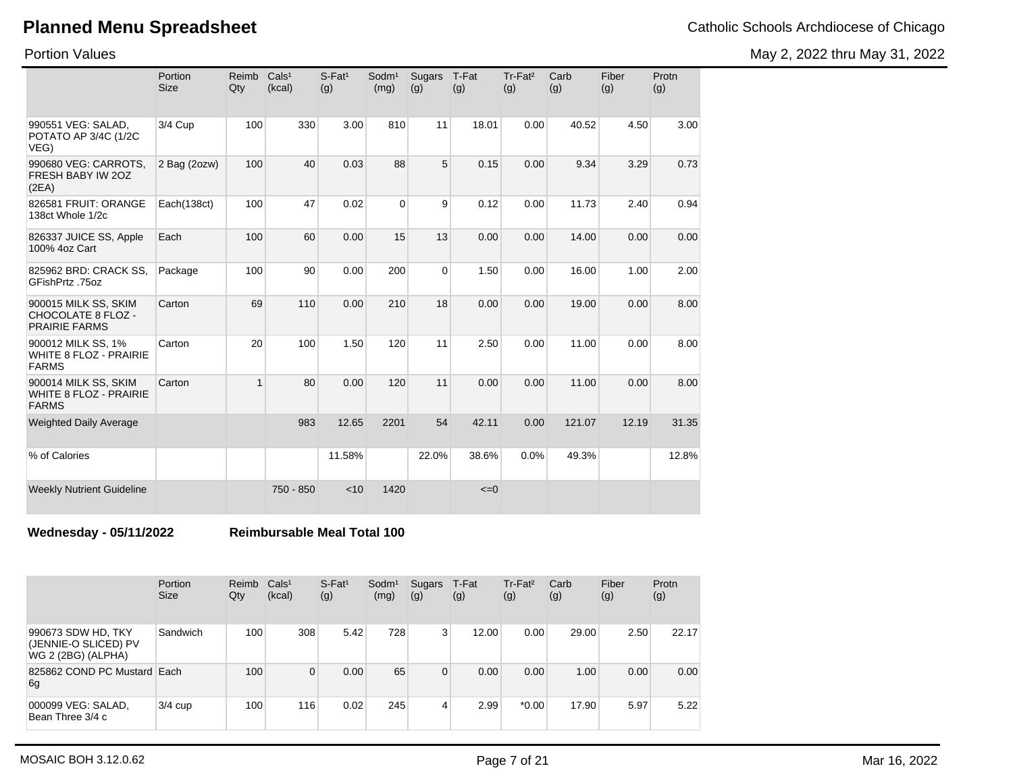Portion Values

May 2, 2022 thru May 31, 2022

|                                                                           | Portion<br><b>Size</b> | Reimb<br>Qty | Cals <sup>1</sup><br>(kcal) | $S$ -Fat <sup>1</sup><br>(g) | Sodm <sup>1</sup><br>(mg) | <b>Sugars</b><br>(g) | T-Fat<br>(g) | Tr-Fat <sup>2</sup><br>(g) | Carb<br>(g) | Fiber<br>(g) | Protn<br>(g) |
|---------------------------------------------------------------------------|------------------------|--------------|-----------------------------|------------------------------|---------------------------|----------------------|--------------|----------------------------|-------------|--------------|--------------|
| 990551 VEG: SALAD,<br>POTATO AP 3/4C (1/2C<br>VEG)                        | 3/4 Cup                | 100          | 330                         | 3.00                         | 810                       | 11                   | 18.01        | 0.00                       | 40.52       | 4.50         | 3.00         |
| 990680 VEG: CARROTS,<br>FRESH BABY IW 20Z<br>(2EA)                        | 2 Bag (2ozw)           | 100          | 40                          | 0.03                         | 88                        | 5                    | 0.15         | 0.00                       | 9.34        | 3.29         | 0.73         |
| 826581 FRUIT: ORANGE<br>138ct Whole 1/2c                                  | Each(138ct)            | 100          | 47                          | 0.02                         | $\Omega$                  | 9                    | 0.12         | 0.00                       | 11.73       | 2.40         | 0.94         |
| 826337 JUICE SS, Apple<br>100% 4oz Cart                                   | Each                   | 100          | 60                          | 0.00                         | 15                        | 13                   | 0.00         | 0.00                       | 14.00       | 0.00         | 0.00         |
| 825962 BRD: CRACK SS.<br>GFishPrtz .75oz                                  | Package                | 100          | 90                          | 0.00                         | 200                       | $\Omega$             | 1.50         | 0.00                       | 16.00       | 1.00         | 2.00         |
| 900015 MILK SS, SKIM<br><b>CHOCOLATE 8 FLOZ -</b><br><b>PRAIRIE FARMS</b> | Carton                 | 69           | 110                         | 0.00                         | 210                       | 18                   | 0.00         | 0.00                       | 19.00       | 0.00         | 8.00         |
| 900012 MILK SS, 1%<br><b>WHITE 8 FLOZ - PRAIRIE</b><br><b>FARMS</b>       | Carton                 | 20           | 100                         | 1.50                         | 120                       | 11                   | 2.50         | 0.00                       | 11.00       | 0.00         | 8.00         |
| 900014 MILK SS, SKIM<br><b>WHITE 8 FLOZ - PRAIRIE</b><br><b>FARMS</b>     | Carton                 | $\mathbf{1}$ | 80                          | 0.00                         | 120                       | 11                   | 0.00         | 0.00                       | 11.00       | 0.00         | 8.00         |
| <b>Weighted Daily Average</b>                                             |                        |              | 983                         | 12.65                        | 2201                      | 54                   | 42.11        | 0.00                       | 121.07      | 12.19        | 31.35        |
| % of Calories                                                             |                        |              |                             | 11.58%                       |                           | 22.0%                | 38.6%        | 0.0%                       | 49.3%       |              | 12.8%        |
| <b>Weekly Nutrient Guideline</b>                                          |                        |              | 750 - 850                   | < 10                         | 1420                      |                      | $\leq=0$     |                            |             |              |              |

**Wednesday - 05/11/2022 Reimbursable Meal Total 100**

|                                                                  | Portion<br><b>Size</b> | Reimb<br>Qty | Cals <sup>1</sup><br>(kcal) | $S$ -Fat <sup>1</sup><br>(g) | Sodm <sup>1</sup><br>(mg) | Sugars<br>(g) | T-Fat<br>(g) | $Tr-Fat2$<br>(g) | Carb<br>(g) | Fiber<br>(g) | Protn<br>(g) |
|------------------------------------------------------------------|------------------------|--------------|-----------------------------|------------------------------|---------------------------|---------------|--------------|------------------|-------------|--------------|--------------|
| 990673 SDW HD, TKY<br>(JENNIE-O SLICED) PV<br>WG 2 (2BG) (ALPHA) | Sandwich               | 100          | 308                         | 5.42                         | 728                       | 3             | 12.00        | 0.00             | 29.00       | 2.50         | 22.17        |
| 825862 COND PC Mustard Each<br>6g                                |                        | 100          | $\Omega$                    | 0.00                         | 65                        | 0             | 0.00         | 0.00             | 1.00        | 0.00         | 0.00         |
| 000099 VEG: SALAD,<br>Bean Three 3/4 c                           | $3/4$ cup              | 100          | 116                         | 0.02                         | 245                       | 4             | 2.99         | $*0.00$          | 17.90       | 5.97         | 5.22         |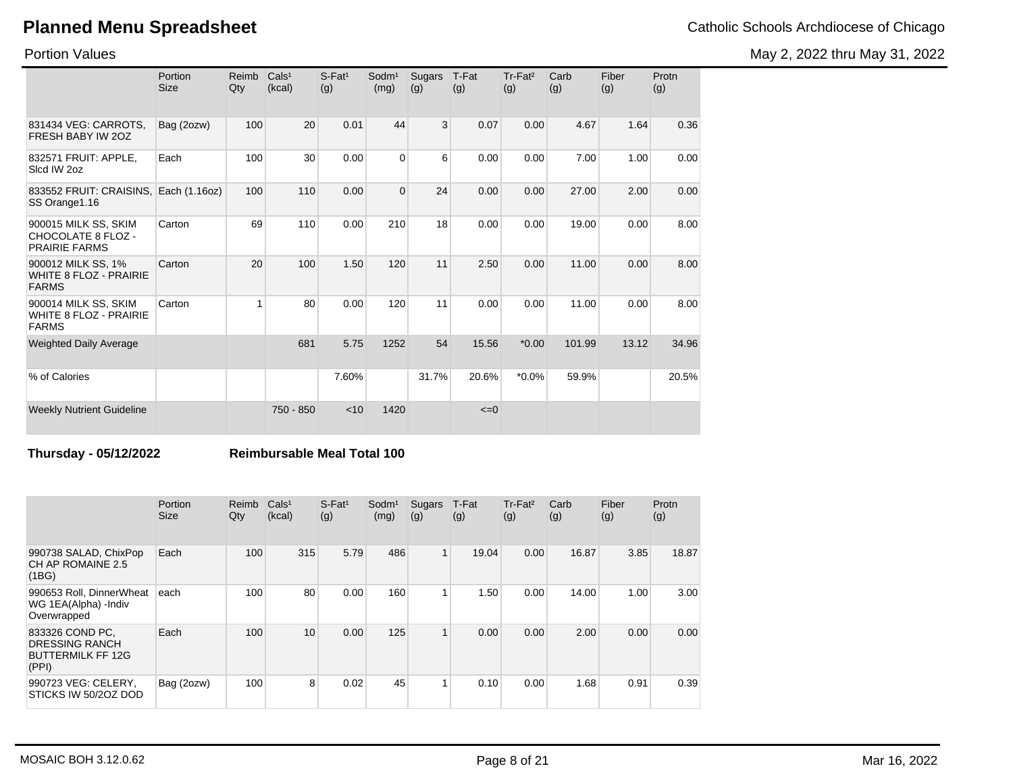Portion Values

|                                                                       | Portion<br><b>Size</b> | Reimb<br>Qty | Cals <sup>1</sup><br>(kcal) | $S$ -Fat <sup>1</sup><br>(g) | Sodm <sup>1</sup><br>(mg) | Sugars<br>(g) | T-Fat<br>(g) | Tr-Fat <sup>2</sup><br>(g) | Carb<br>(g) | Fiber<br>(g) | Protn<br>(g) |
|-----------------------------------------------------------------------|------------------------|--------------|-----------------------------|------------------------------|---------------------------|---------------|--------------|----------------------------|-------------|--------------|--------------|
| 831434 VEG: CARROTS,<br>FRESH BABY IW 20Z                             | Bag (2ozw)             | 100          | 20                          | 0.01                         | 44                        | 3             | 0.07         | 0.00                       | 4.67        | 1.64         | 0.36         |
| 832571 FRUIT: APPLE,<br>Slcd IW 2oz                                   | Each                   | 100          | 30                          | 0.00                         | $\Omega$                  | 6             | 0.00         | 0.00                       | 7.00        | 1.00         | 0.00         |
| 833552 FRUIT: CRAISINS, Each (1.16oz)<br>SS Orange 1.16               |                        | 100          | 110                         | 0.00                         | $\mathbf{0}$              | 24            | 0.00         | 0.00                       | 27.00       | 2.00         | 0.00         |
| 900015 MILK SS, SKIM<br>CHOCOLATE 8 FLOZ -<br><b>PRAIRIE FARMS</b>    | Carton                 | 69           | 110                         | 0.00                         | 210                       | 18            | 0.00         | 0.00                       | 19.00       | 0.00         | 8.00         |
| 900012 MILK SS, 1%<br><b>WHITE 8 FLOZ - PRAIRIE</b><br><b>FARMS</b>   | Carton                 | 20           | 100                         | 1.50                         | 120                       | 11            | 2.50         | 0.00                       | 11.00       | 0.00         | 8.00         |
| 900014 MILK SS, SKIM<br><b>WHITE 8 FLOZ - PRAIRIE</b><br><b>FARMS</b> | Carton                 | 1            | 80                          | 0.00                         | 120                       | 11            | 0.00         | 0.00                       | 11.00       | 0.00         | 8.00         |
| <b>Weighted Daily Average</b>                                         |                        |              | 681                         | 5.75                         | 1252                      | 54            | 15.56        | $*0.00$                    | 101.99      | 13.12        | 34.96        |
| % of Calories                                                         |                        |              |                             | 7.60%                        |                           | 31.7%         | 20.6%        | $*0.0\%$                   | 59.9%       |              | 20.5%        |
| <b>Weekly Nutrient Guideline</b>                                      |                        |              | 750 - 850                   | < 10                         | 1420                      |               | $\leq=0$     |                            |             |              |              |

#### **Thursday - 05/12/2022 Reimbursable Meal Total 100**

|                                                                               | Portion<br><b>Size</b> | Reimb<br>Qty | Cals <sup>1</sup><br>(kcal) | $S$ -Fat <sup>1</sup><br>(g) | Sodm <sup>1</sup><br>(mg) | Sugars<br>(g)  | T-Fat<br>(g) | Tr-Fat <sup>2</sup><br>(g) | Carb<br>(g) | Fiber<br>(g) | Protn<br>(g) |
|-------------------------------------------------------------------------------|------------------------|--------------|-----------------------------|------------------------------|---------------------------|----------------|--------------|----------------------------|-------------|--------------|--------------|
| 990738 SALAD, ChixPop<br>CH AP ROMAINE 2.5<br>(1BG)                           | Each                   | 100          | 315                         | 5.79                         | 486                       | 1 <sub>1</sub> | 19.04        | 0.00                       | 16.87       | 3.85         | 18.87        |
| 990653 Roll, DinnerWheat<br>WG 1EA(Alpha) - Indiv<br>Overwrapped              | each                   | 100          | 80                          | 0.00                         | 160                       | 1              | 1.50         | 0.00                       | 14.00       | 1.00         | 3.00         |
| 833326 COND PC,<br><b>DRESSING RANCH</b><br><b>BUTTERMILK FF 12G</b><br>(PPI) | Each                   | 100          | 10                          | 0.00                         | 125                       | $\mathbf{1}$   | 0.00         | 0.00                       | 2.00        | 0.00         | 0.00         |
| 990723 VEG: CELERY,<br>STICKS IW 50/2OZ DOD                                   | Bag (2ozw)             | 100          | 8                           | 0.02                         | 45                        | 1              | 0.10         | 0.00                       | 1.68        | 0.91         | 0.39         |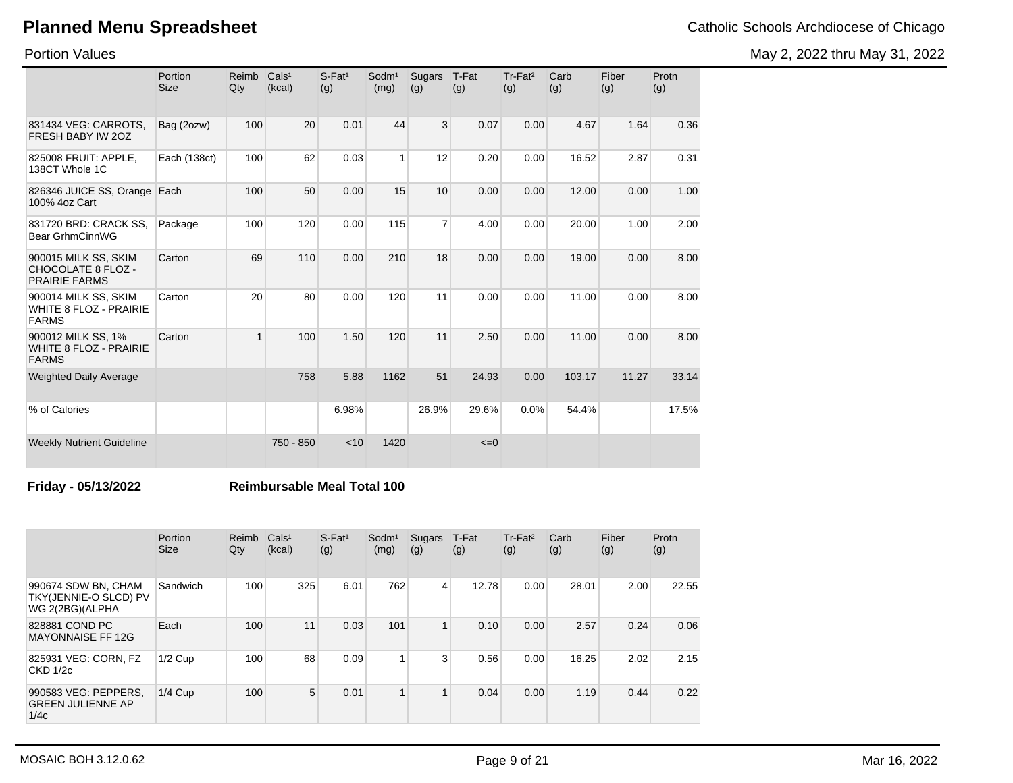May 2, 2022 thru May 31, 2022

Portion Values

|                                                                       | Portion<br><b>Size</b> | Reimb<br>Qty | Cals <sup>1</sup><br>(kcal) | $S$ -Fat <sup>1</sup><br>(g) | Sodm <sup>1</sup><br>(mg) | Sugars<br>(g)  | T-Fat<br>(g) | Tr-Fat <sup>2</sup><br>(g) | Carb<br>(g) | Fiber<br>(g) | Protn<br>(g) |
|-----------------------------------------------------------------------|------------------------|--------------|-----------------------------|------------------------------|---------------------------|----------------|--------------|----------------------------|-------------|--------------|--------------|
| 831434 VEG: CARROTS,<br>FRESH BABY IW 20Z                             | Bag (2ozw)             | 100          | 20                          | 0.01                         | 44                        | 3              | 0.07         | 0.00                       | 4.67        | 1.64         | 0.36         |
| 825008 FRUIT: APPLE.<br>138CT Whole 1C                                | Each (138ct)           | 100          | 62                          | 0.03                         | $\mathbf{1}$              | 12             | 0.20         | 0.00                       | 16.52       | 2.87         | 0.31         |
| 826346 JUICE SS, Orange Each<br>100% 4oz Cart                         |                        | 100          | 50                          | 0.00                         | 15                        | 10             | 0.00         | 0.00                       | 12.00       | 0.00         | 1.00         |
| 831720 BRD: CRACK SS,<br>Bear GrhmCinnWG                              | Package                | 100          | 120                         | 0.00                         | 115                       | $\overline{7}$ | 4.00         | 0.00                       | 20.00       | 1.00         | 2.00         |
| 900015 MILK SS, SKIM<br>CHOCOLATE 8 FLOZ -<br><b>PRAIRIE FARMS</b>    | Carton                 | 69           | 110                         | 0.00                         | 210                       | 18             | 0.00         | 0.00                       | 19.00       | 0.00         | 8.00         |
| 900014 MILK SS, SKIM<br><b>WHITE 8 FLOZ - PRAIRIE</b><br><b>FARMS</b> | Carton                 | 20           | 80                          | 0.00                         | 120                       | 11             | 0.00         | 0.00                       | 11.00       | 0.00         | 8.00         |
| 900012 MILK SS, 1%<br><b>WHITE 8 FLOZ - PRAIRIE</b><br><b>FARMS</b>   | Carton                 | 1            | 100                         | 1.50                         | 120                       | 11             | 2.50         | 0.00                       | 11.00       | 0.00         | 8.00         |
| <b>Weighted Daily Average</b>                                         |                        |              | 758                         | 5.88                         | 1162                      | 51             | 24.93        | 0.00                       | 103.17      | 11.27        | 33.14        |
| % of Calories                                                         |                        |              |                             | 6.98%                        |                           | 26.9%          | 29.6%        | 0.0%                       | 54.4%       |              | 17.5%        |
| <b>Weekly Nutrient Guideline</b>                                      |                        |              | 750 - 850                   | < 10                         | 1420                      |                | $\leq=0$     |                            |             |              |              |

#### **Friday - 05/13/2022 Reimbursable Meal Total 100**

|                                                                 | Portion<br><b>Size</b> | Reimb<br>Qty | Cals <sup>1</sup><br>(kcal) | $S$ -Fat <sup>1</sup><br>(g) | $S$ odm $1$<br>(mg) | Sugars<br>(g) | T-Fat<br>(g) | Tr-Fat <sup>2</sup><br>(g) | Carb<br>(g) | Fiber<br>(g) | Protn<br>(g) |
|-----------------------------------------------------------------|------------------------|--------------|-----------------------------|------------------------------|---------------------|---------------|--------------|----------------------------|-------------|--------------|--------------|
| 990674 SDW BN, CHAM<br>TKY(JENNIE-O SLCD) PV<br>WG 2(2BG)(ALPHA | Sandwich               | 100          | 325                         | 6.01                         | 762                 | 4             | 12.78        | 0.00                       | 28.01       | 2.00         | 22.55        |
| 828881 COND PC<br><b>MAYONNAISE FF 12G</b>                      | Each                   | 100          | 11                          | 0.03                         | 101                 | 1             | 0.10         | 0.00                       | 2.57        | 0.24         | 0.06         |
| 825931 VEG: CORN, FZ<br>$CKD$ 1/2 $c$                           | $1/2$ Cup              | 100          | 68                          | 0.09                         |                     | 3             | 0.56         | 0.00                       | 16.25       | 2.02         | 2.15         |
| 990583 VEG: PEPPERS,<br><b>GREEN JULIENNE AP</b><br>1/4c        | $1/4$ Cup              | 100          | 5                           | 0.01                         |                     | $\mathbf{1}$  | 0.04         | 0.00                       | 1.19        | 0.44         | 0.22         |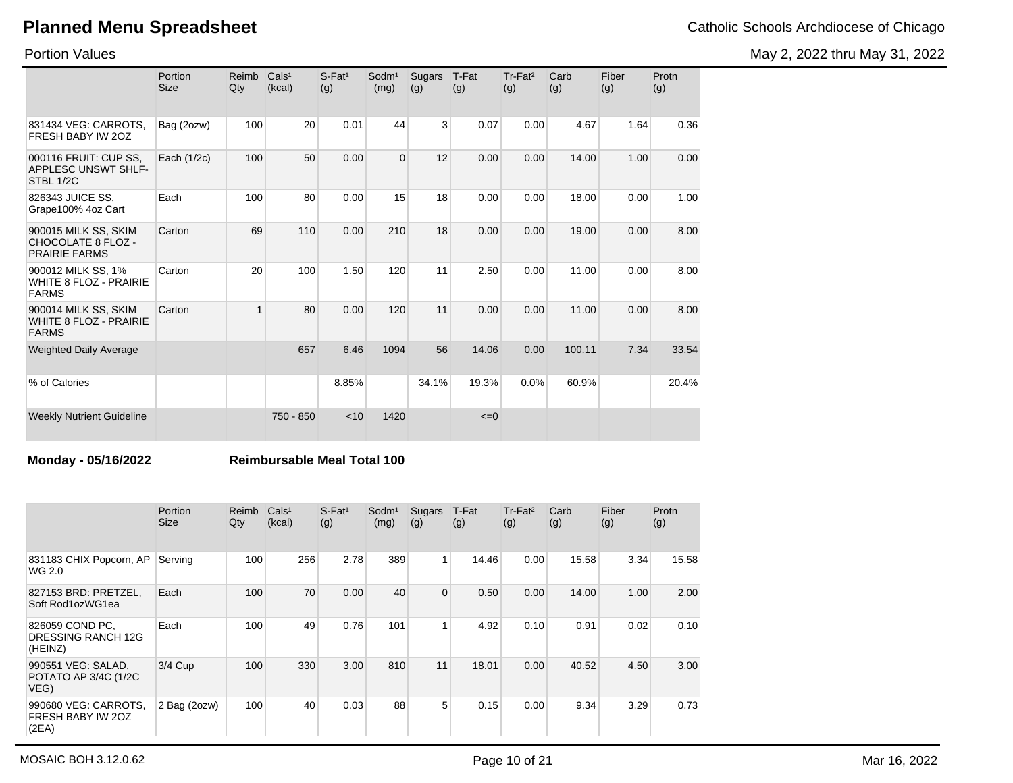Portion Values

|                                                                       | Portion<br><b>Size</b> | Reimb<br>Qty   | Cals <sup>1</sup><br>(kcal) | $S$ -Fat <sup>1</sup><br>(g) | Sodm <sup>1</sup><br>(mg) | <b>Sugars</b><br>(g) | T-Fat<br>(g) | Tr-Fat <sup>2</sup><br>(g) | Carb<br>(g) | Fiber<br>(g) | Protn<br>(g) |
|-----------------------------------------------------------------------|------------------------|----------------|-----------------------------|------------------------------|---------------------------|----------------------|--------------|----------------------------|-------------|--------------|--------------|
| 831434 VEG: CARROTS,<br>FRESH BABY IW 20Z                             | Bag (2ozw)             | 100            | 20                          | 0.01                         | 44                        | $\overline{3}$       | 0.07         | 0.00                       | 4.67        | 1.64         | 0.36         |
| 000116 FRUIT: CUP SS.<br>APPLESC UNSWT SHLF-<br>STBL 1/2C             | Each (1/2c)            | 100            | 50                          | 0.00                         | $\mathbf 0$               | 12                   | 0.00         | 0.00                       | 14.00       | 1.00         | 0.00         |
| 826343 JUICE SS.<br>Grape100% 4oz Cart                                | Each                   | 100            | 80                          | 0.00                         | 15                        | 18                   | 0.00         | 0.00                       | 18.00       | 0.00         | 1.00         |
| 900015 MILK SS, SKIM<br>CHOCOLATE 8 FLOZ -<br><b>PRAIRIE FARMS</b>    | Carton                 | 69             | 110                         | 0.00                         | 210                       | 18                   | 0.00         | 0.00                       | 19.00       | 0.00         | 8.00         |
| 900012 MILK SS, 1%<br><b>WHITE 8 FLOZ - PRAIRIE</b><br><b>FARMS</b>   | Carton                 | 20             | 100                         | 1.50                         | 120                       | 11                   | 2.50         | 0.00                       | 11.00       | 0.00         | 8.00         |
| 900014 MILK SS, SKIM<br><b>WHITE 8 FLOZ - PRAIRIE</b><br><b>FARMS</b> | Carton                 | $\overline{1}$ | 80                          | 0.00                         | 120                       | 11                   | 0.00         | 0.00                       | 11.00       | 0.00         | 8.00         |
| <b>Weighted Daily Average</b>                                         |                        |                | 657                         | 6.46                         | 1094                      | 56                   | 14.06        | 0.00                       | 100.11      | 7.34         | 33.54        |
| % of Calories                                                         |                        |                |                             | 8.85%                        |                           | 34.1%                | 19.3%        | 0.0%                       | 60.9%       |              | 20.4%        |
| <b>Weekly Nutrient Guideline</b>                                      |                        |                | 750 - 850                   | < 10                         | 1420                      |                      | $\leq=0$     |                            |             |              |              |

#### **Monday - 05/16/2022 Reimbursable Meal Total 100**

|                                                         | Portion<br><b>Size</b> | Reimb<br>Qty | Cals <sup>1</sup><br>(kcal) | $S$ -Fat <sup>1</sup><br>(g) | Sodm <sup>1</sup><br>(mg) | Sugars<br>(g)  | T-Fat<br>(g) | Tr-Fat <sup>2</sup><br>(g) | Carb<br>(g) | Fiber<br>(g) | Protn<br>(g) |
|---------------------------------------------------------|------------------------|--------------|-----------------------------|------------------------------|---------------------------|----------------|--------------|----------------------------|-------------|--------------|--------------|
| 831183 CHIX Popcorn, AP<br>WG 2.0                       | Serving                | 100          | 256                         | 2.78                         | 389                       | $\mathbf{1}$   | 14.46        | 0.00                       | 15.58       | 3.34         | 15.58        |
| 827153 BRD: PRETZEL,<br>Soft Rod1ozWG1ea                | Each                   | 100          | 70                          | 0.00                         | 40                        | $\overline{0}$ | 0.50         | 0.00                       | 14.00       | 1.00         | 2.00         |
| 826059 COND PC,<br><b>DRESSING RANCH 12G</b><br>(HEINZ) | Each                   | 100          | 49                          | 0.76                         | 101                       | 1              | 4.92         | 0.10                       | 0.91        | 0.02         | 0.10         |
| 990551 VEG: SALAD,<br>POTATO AP 3/4C (1/2C<br>VEG)      | 3/4 Cup                | 100          | 330                         | 3.00                         | 810                       | 11             | 18.01        | 0.00                       | 40.52       | 4.50         | 3.00         |
| 990680 VEG: CARROTS,<br>FRESH BABY IW 20Z<br>(2EA)      | 2 Bag (2ozw)           | 100          | 40                          | 0.03                         | 88                        | 5              | 0.15         | 0.00                       | 9.34        | 3.29         | 0.73         |

May 2, 2022 thru May 31, 2022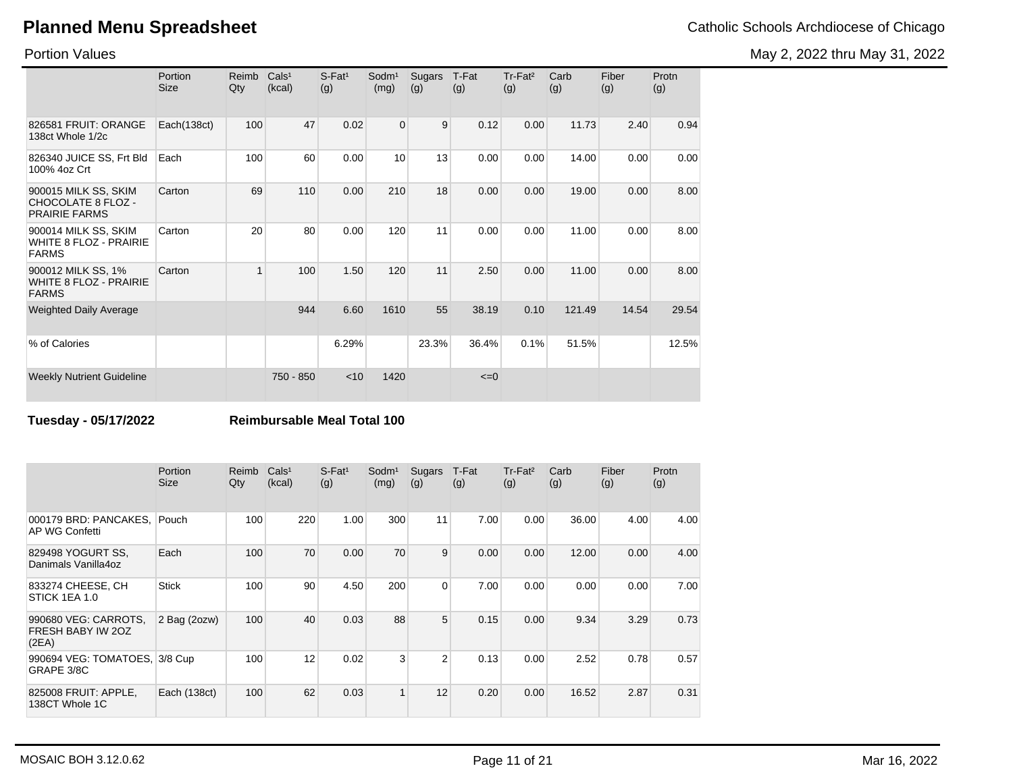May 2, 2022 thru May 31, 2022

Portion Values

|                                                                     | Portion<br>Size | Reimb<br>Qty | Cals <sup>1</sup><br>(kcal) | $S$ -Fat <sup>1</sup><br>(g) | Sodm <sup>1</sup><br>(mg) | Sugars<br>(g) | T-Fat<br>(g) | $Tr-Fat2$<br>(g) | Carb<br>(g) | Fiber<br>(g) | Protn<br>(g) |
|---------------------------------------------------------------------|-----------------|--------------|-----------------------------|------------------------------|---------------------------|---------------|--------------|------------------|-------------|--------------|--------------|
| 826581 FRUIT: ORANGE<br>138ct Whole 1/2c                            | Each(138ct)     | 100          | 47                          | 0.02                         | $\Omega$                  | 9             | 0.12         | 0.00             | 11.73       | 2.40         | 0.94         |
| 826340 JUICE SS, Frt Bld<br>100% 4oz Crt                            | Each            | 100          | 60                          | 0.00                         | 10                        | 13            | 0.00         | 0.00             | 14.00       | 0.00         | 0.00         |
| 900015 MILK SS, SKIM<br>CHOCOLATE 8 FLOZ -<br><b>PRAIRIE FARMS</b>  | Carton          | 69           | 110                         | 0.00                         | 210                       | 18            | 0.00         | 0.00             | 19.00       | 0.00         | 8.00         |
| 900014 MILK SS, SKIM<br>WHITE 8 FLOZ - PRAIRIE<br><b>FARMS</b>      | Carton          | 20           | 80                          | 0.00                         | 120                       | 11            | 0.00         | 0.00             | 11.00       | 0.00         | 8.00         |
| 900012 MILK SS, 1%<br><b>WHITE 8 FLOZ - PRAIRIE</b><br><b>FARMS</b> | Carton          | $\mathbf{1}$ | 100                         | 1.50                         | 120                       | 11            | 2.50         | 0.00             | 11.00       | 0.00         | 8.00         |
| <b>Weighted Daily Average</b>                                       |                 |              | 944                         | 6.60                         | 1610                      | 55            | 38.19        | 0.10             | 121.49      | 14.54        | 29.54        |
| % of Calories                                                       |                 |              |                             | 6.29%                        |                           | 23.3%         | 36.4%        | 0.1%             | 51.5%       |              | 12.5%        |
| <b>Weekly Nutrient Guideline</b>                                    |                 |              | 750 - 850                   | $<$ 10                       | 1420                      |               | $\leq=0$     |                  |             |              |              |

**Tuesday - 05/17/2022 Reimbursable Meal Total 100**

|                                                    | Portion<br><b>Size</b> | Reimb<br>Qty | Cals <sup>1</sup><br>(kcal) | $S$ -Fat <sup>1</sup><br>(g) | Sodm <sup>1</sup><br>(mg) | Sugars<br>(g)  | T-Fat<br>(g) | Tr-Fat <sup>2</sup><br>(g) | Carb<br>(g) | Fiber<br>(g) | Protn<br>(g) |
|----------------------------------------------------|------------------------|--------------|-----------------------------|------------------------------|---------------------------|----------------|--------------|----------------------------|-------------|--------------|--------------|
| 000179 BRD: PANCAKES.<br>AP WG Confetti            | Pouch                  | 100          | 220                         | 1.00                         | 300                       | 11             | 7.00         | 0.00                       | 36.00       | 4.00         | 4.00         |
| 829498 YOGURT SS.<br>Danimals Vanilla4oz           | Each                   | 100          | 70                          | 0.00                         | 70                        | 9              | 0.00         | 0.00                       | 12.00       | 0.00         | 4.00         |
| 833274 CHEESE, CH<br>STICK 1EA 1.0                 | <b>Stick</b>           | 100          | 90                          | 4.50                         | 200                       | $\overline{0}$ | 7.00         | 0.00                       | 0.00        | 0.00         | 7.00         |
| 990680 VEG: CARROTS,<br>FRESH BABY IW 20Z<br>(2EA) | 2 Bag (2ozw)           | 100          | 40                          | 0.03                         | 88                        | 5              | 0.15         | 0.00                       | 9.34        | 3.29         | 0.73         |
| 990694 VEG: TOMATOES, 3/8 Cup<br>GRAPE 3/8C        |                        | 100          | 12                          | 0.02                         | 3                         | $\overline{2}$ | 0.13         | 0.00                       | 2.52        | 0.78         | 0.57         |
| 825008 FRUIT: APPLE,<br>138CT Whole 1C             | Each (138ct)           | 100          | 62                          | 0.03                         | $\overline{1}$            | 12             | 0.20         | 0.00                       | 16.52       | 2.87         | 0.31         |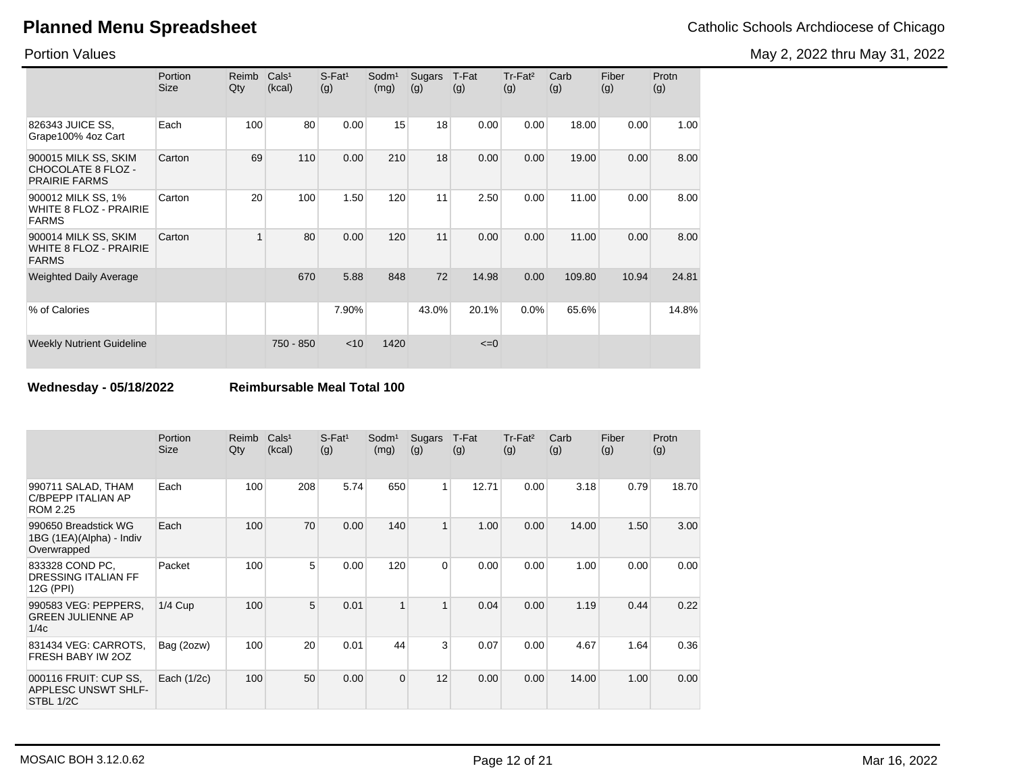Portion Values

|                                                                       | Portion<br><b>Size</b> | Reimb<br>Qty | Cals <sup>1</sup><br>(kcal) | $S$ -Fat <sup>1</sup><br>(g) | Sodm <sup>1</sup><br>(mg) | Sugars<br>(g) | T-Fat<br>(g) | Tr-Fat <sup>2</sup><br>(g) | Carb<br>(g) | Fiber<br>(g) | Protn<br>(g) |
|-----------------------------------------------------------------------|------------------------|--------------|-----------------------------|------------------------------|---------------------------|---------------|--------------|----------------------------|-------------|--------------|--------------|
| 826343 JUICE SS,<br>Grape100% 4oz Cart                                | Each                   | 100          | 80                          | 0.00                         | 15                        | 18            | 0.00         | 0.00                       | 18.00       | 0.00         | 1.00         |
| 900015 MILK SS, SKIM<br>CHOCOLATE 8 FLOZ -<br><b>PRAIRIE FARMS</b>    | Carton                 | 69           | 110                         | 0.00                         | 210                       | 18            | 0.00         | 0.00                       | 19.00       | 0.00         | 8.00         |
| 900012 MILK SS, 1%<br><b>WHITE 8 FLOZ - PRAIRIE</b><br><b>FARMS</b>   | Carton                 | 20           | 100                         | 1.50                         | 120                       | 11            | 2.50         | 0.00                       | 11.00       | 0.00         | 8.00         |
| 900014 MILK SS, SKIM<br><b>WHITE 8 FLOZ - PRAIRIE</b><br><b>FARMS</b> | Carton                 | 1            | 80                          | 0.00                         | 120                       | 11            | 0.00         | 0.00                       | 11.00       | 0.00         | 8.00         |
| <b>Weighted Daily Average</b>                                         |                        |              | 670                         | 5.88                         | 848                       | 72            | 14.98        | 0.00                       | 109.80      | 10.94        | 24.81        |
| % of Calories                                                         |                        |              |                             | 7.90%                        |                           | 43.0%         | 20.1%        | 0.0%                       | 65.6%       |              | 14.8%        |
| <b>Weekly Nutrient Guideline</b>                                      |                        |              | 750 - 850                   | $<$ 10                       | 1420                      |               | $\leq=0$     |                            |             |              |              |

**Wednesday - 05/18/2022 Reimbursable Meal Total 100**

|                                                                 | Portion<br><b>Size</b> | Reimb<br>Qty | Cals <sup>1</sup><br>(kcal) | $S$ -Fat <sup>1</sup><br>(g) | Sodm <sup>1</sup><br>(mg) | Sugars<br>(g)  | T-Fat<br>(g) | Tr-Fat <sup>2</sup><br>(g) | Carb<br>(g) | Fiber<br>(g) | Protn<br>(g) |
|-----------------------------------------------------------------|------------------------|--------------|-----------------------------|------------------------------|---------------------------|----------------|--------------|----------------------------|-------------|--------------|--------------|
| 990711 SALAD, THAM<br>C/BPEPP ITALIAN AP<br><b>ROM 2.25</b>     | Each                   | 100          | 208                         | 5.74                         | 650                       | $\mathbf{1}$   | 12.71        | 0.00                       | 3.18        | 0.79         | 18.70        |
| 990650 Breadstick WG<br>1BG (1EA)(Alpha) - Indiv<br>Overwrapped | Each                   | 100          | 70                          | 0.00                         | 140                       | $\mathbf{1}$   | 1.00         | 0.00                       | 14.00       | 1.50         | 3.00         |
| 833328 COND PC,<br>DRESSING ITALIAN FF<br>12G (PPI)             | Packet                 | 100          | 5                           | 0.00                         | 120                       | $\overline{0}$ | 0.00         | 0.00                       | 1.00        | 0.00         | 0.00         |
| 990583 VEG: PEPPERS,<br><b>GREEN JULIENNE AP</b><br>1/4c        | $1/4$ Cup              | 100          | 5                           | 0.01                         | 1                         | $\mathbf{1}$   | 0.04         | 0.00                       | 1.19        | 0.44         | 0.22         |
| 831434 VEG: CARROTS,<br>FRESH BABY IW 20Z                       | Bag (2ozw)             | 100          | 20                          | 0.01                         | 44                        | 3              | 0.07         | 0.00                       | 4.67        | 1.64         | 0.36         |
| 000116 FRUIT: CUP SS.<br>APPLESC UNSWT SHLF-<br>STBL 1/2C       | Each $(1/2c)$          | 100          | 50                          | 0.00                         | $\Omega$                  | 12             | 0.00         | 0.00                       | 14.00       | 1.00         | 0.00         |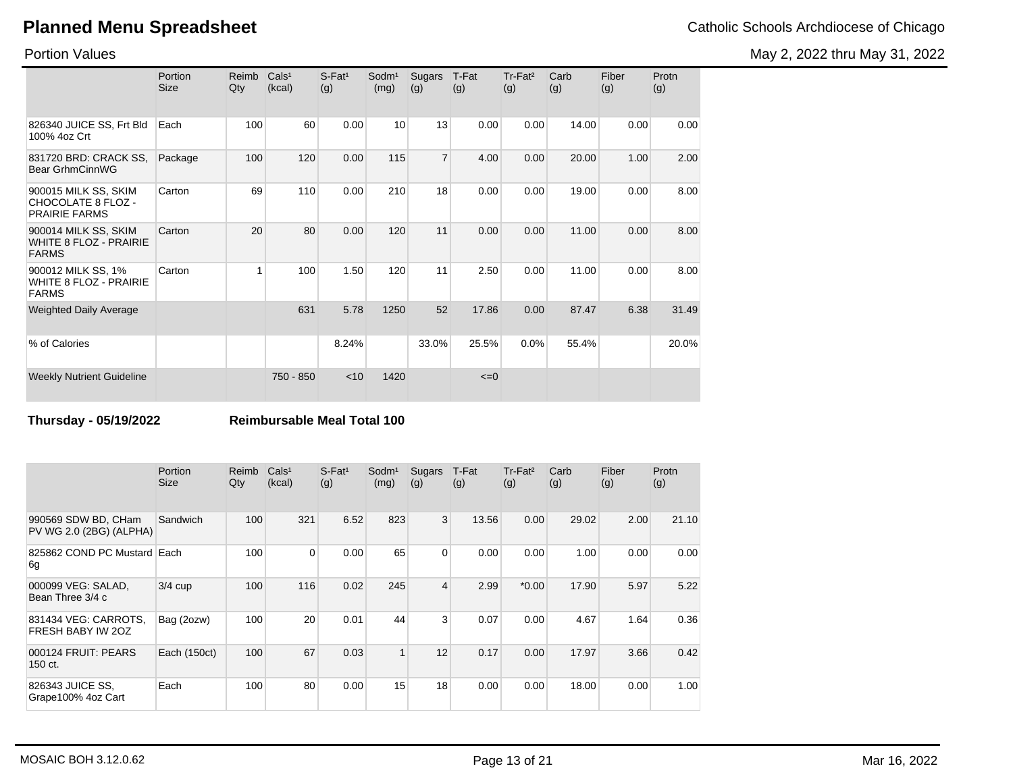May 2, 2022 thru May 31, 2022

Portion Values

|                                                                       | Portion<br><b>Size</b> | Reimb<br>Qty | Cals <sup>1</sup><br>(kcal) | $S$ -Fat <sup>1</sup><br>(g) | Sodm <sup>1</sup><br>(mg) | <b>Sugars</b><br>(g) | T-Fat<br>(g) | Tr-Fat <sup>2</sup><br>(g) | Carb<br>(g) | Fiber<br>(g) | Protn<br>(g) |
|-----------------------------------------------------------------------|------------------------|--------------|-----------------------------|------------------------------|---------------------------|----------------------|--------------|----------------------------|-------------|--------------|--------------|
| 826340 JUICE SS, Frt Bld<br>100% 4oz Crt                              | Each                   | 100          | 60                          | 0.00                         | 10                        | 13                   | 0.00         | 0.00                       | 14.00       | 0.00         | 0.00         |
| 831720 BRD: CRACK SS,<br><b>Bear GrhmCinnWG</b>                       | Package                | 100          | 120                         | 0.00                         | 115                       | $\overline{7}$       | 4.00         | 0.00                       | 20.00       | 1.00         | 2.00         |
| 900015 MILK SS, SKIM<br>CHOCOLATE 8 FLOZ -<br><b>PRAIRIE FARMS</b>    | Carton                 | 69           | 110                         | 0.00                         | 210                       | 18                   | 0.00         | 0.00                       | 19.00       | 0.00         | 8.00         |
| 900014 MILK SS, SKIM<br><b>WHITE 8 FLOZ - PRAIRIE</b><br><b>FARMS</b> | Carton                 | 20           | 80                          | 0.00                         | 120                       | 11                   | 0.00         | 0.00                       | 11.00       | 0.00         | 8.00         |
| 900012 MILK SS, 1%<br><b>WHITE 8 FLOZ - PRAIRIE</b><br><b>FARMS</b>   | Carton                 | 1            | 100                         | 1.50                         | 120                       | 11                   | 2.50         | 0.00                       | 11.00       | 0.00         | 8.00         |
| <b>Weighted Daily Average</b>                                         |                        |              | 631                         | 5.78                         | 1250                      | 52                   | 17.86        | 0.00                       | 87.47       | 6.38         | 31.49        |
| % of Calories                                                         |                        |              |                             | 8.24%                        |                           | 33.0%                | 25.5%        | 0.0%                       | 55.4%       |              | 20.0%        |
| <b>Weekly Nutrient Guideline</b>                                      |                        |              | 750 - 850                   | $<$ 10                       | 1420                      |                      | $\leq=0$     |                            |             |              |              |

**Thursday - 05/19/2022 Reimbursable Meal Total 100**

|                                                | Portion<br><b>Size</b> | Reimb<br>Qty | Cals <sup>1</sup><br>(kcal) | $S$ -Fat <sup>1</sup><br>(g) | Sodm <sup>1</sup><br>(mg) | Sugars<br>(g)  | T-Fat<br>(g) | Tr-Fat <sup>2</sup><br>(g) | Carb<br>(g) | Fiber<br>(g) | Protn<br>(g) |
|------------------------------------------------|------------------------|--------------|-----------------------------|------------------------------|---------------------------|----------------|--------------|----------------------------|-------------|--------------|--------------|
| 990569 SDW BD, CHam<br>PV WG 2.0 (2BG) (ALPHA) | Sandwich               | 100          | 321                         | 6.52                         | 823                       | 3              | 13.56        | 0.00                       | 29.02       | 2.00         | 21.10        |
| 825862 COND PC Mustard Each<br>6g              |                        | 100          | $\Omega$                    | 0.00                         | 65                        | $\overline{0}$ | 0.00         | 0.00                       | 1.00        | 0.00         | 0.00         |
| 000099 VEG: SALAD,<br>Bean Three 3/4 c         | $3/4$ cup              | 100          | 116                         | 0.02                         | 245                       | $\overline{4}$ | 2.99         | $*0.00*$                   | 17.90       | 5.97         | 5.22         |
| 831434 VEG: CARROTS.<br>FRESH BABY IW 20Z      | Bag (2ozw)             | 100          | 20                          | 0.01                         | 44                        | 3 <sup>1</sup> | 0.07         | 0.00                       | 4.67        | 1.64         | 0.36         |
| 000124 FRUIT: PEARS<br>150 ct.                 | Each (150ct)           | 100          | 67                          | 0.03                         |                           | 12             | 0.17         | 0.00                       | 17.97       | 3.66         | 0.42         |
| 826343 JUICE SS,<br>Grape100% 4oz Cart         | Each                   | 100          | 80                          | 0.00                         | 15                        | 18             | 0.00         | 0.00                       | 18.00       | 0.00         | 1.00         |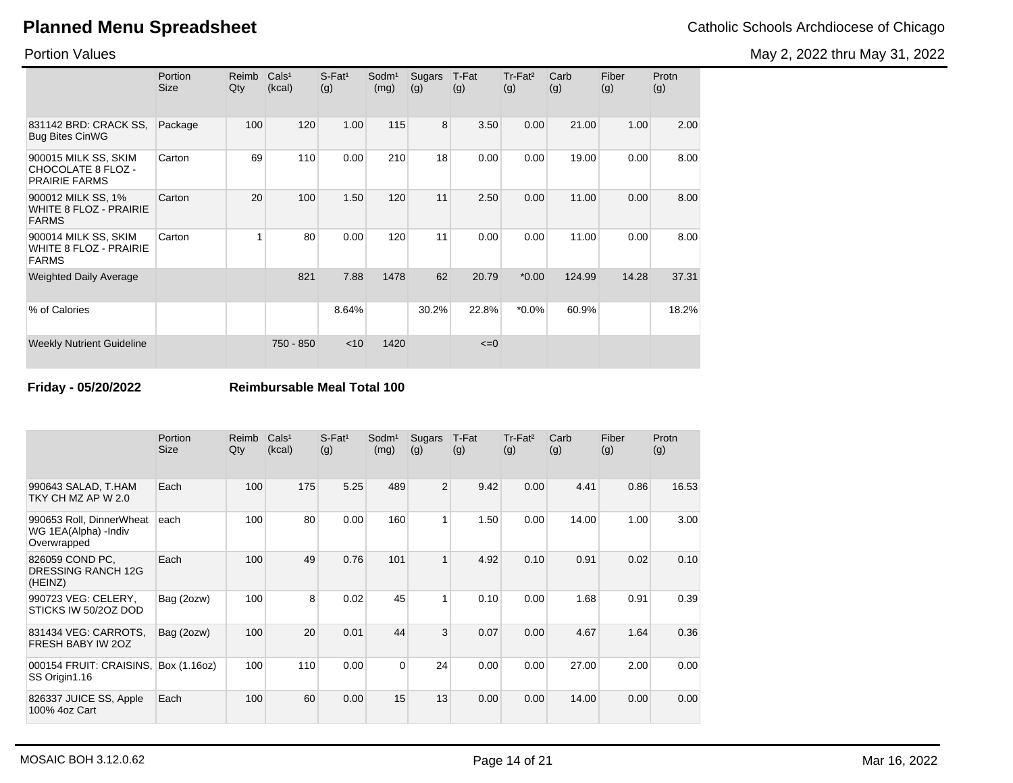May 2, 2022 thru May 31, 2022

Portion Values

|                                                                       | Portion<br><b>Size</b> | Reimb<br>Qty | Cals <sup>1</sup><br>(kcal) | $S$ -Fat <sup>1</sup><br>(g) | Sodm <sup>1</sup><br>(mg) | Sugars<br>(g) | T-Fat<br>(g) | Tr-Fat <sup>2</sup><br>(g) | Carb<br>(g) | Fiber<br>(g) | Protn<br>(g) |
|-----------------------------------------------------------------------|------------------------|--------------|-----------------------------|------------------------------|---------------------------|---------------|--------------|----------------------------|-------------|--------------|--------------|
| 831142 BRD: CRACK SS.<br><b>Bug Bites CinWG</b>                       | Package                | 100          | 120                         | 1.00                         | 115                       | 8             | 3.50         | 0.00                       | 21.00       | 1.00         | 2.00         |
| 900015 MILK SS, SKIM<br>CHOCOLATE 8 FLOZ -<br><b>PRAIRIE FARMS</b>    | Carton                 | 69           | 110                         | 0.00                         | 210                       | 18            | 0.00         | 0.00                       | 19.00       | 0.00         | 8.00         |
| 900012 MILK SS, 1%<br><b>WHITE 8 FLOZ - PRAIRIE</b><br><b>FARMS</b>   | Carton                 | 20           | 100                         | 1.50                         | 120                       | 11            | 2.50         | 0.00                       | 11.00       | 0.00         | 8.00         |
| 900014 MILK SS, SKIM<br><b>WHITE 8 FLOZ - PRAIRIE</b><br><b>FARMS</b> | Carton                 |              | 80                          | 0.00                         | 120                       | 11            | 0.00         | 0.00                       | 11.00       | 0.00         | 8.00         |
| <b>Weighted Daily Average</b>                                         |                        |              | 821                         | 7.88                         | 1478                      | 62            | 20.79        | $*0.00$                    | 124.99      | 14.28        | 37.31        |
| % of Calories                                                         |                        |              |                             | 8.64%                        |                           | 30.2%         | 22.8%        | $*0.0\%$                   | 60.9%       |              | 18.2%        |
| <b>Weekly Nutrient Guideline</b>                                      |                        |              | 750 - 850                   | $<$ 10                       | 1420                      |               | $\leq=0$     |                            |             |              |              |

**Friday - 05/20/2022 Reimbursable Meal Total 100**

|                                                                  | Portion<br><b>Size</b> | Reimb<br>Qty | Cals <sup>1</sup><br>(kcal) | $S$ -Fat <sup>1</sup><br>(g) | Sodm <sup>1</sup><br>(mg) | <b>Sugars</b><br>(g) | T-Fat<br>(g) | Tr-Fat <sup>2</sup><br>(g) | Carb<br>(g) | Fiber<br>(g) | Protn<br>(g) |
|------------------------------------------------------------------|------------------------|--------------|-----------------------------|------------------------------|---------------------------|----------------------|--------------|----------------------------|-------------|--------------|--------------|
| 990643 SALAD, T.HAM<br>TKY CH MZ AP W 2.0                        | Each                   | 100          | 175                         | 5.25                         | 489                       | $\overline{2}$       | 9.42         | 0.00                       | 4.41        | 0.86         | 16.53        |
| 990653 Roll, DinnerWheat<br>WG 1EA(Alpha) - Indiv<br>Overwrapped | each                   | 100          | 80                          | 0.00                         | 160                       | 1                    | 1.50         | 0.00                       | 14.00       | 1.00         | 3.00         |
| 826059 COND PC,<br>DRESSING RANCH 12G<br>(HEINZ)                 | Each                   | 100          | 49                          | 0.76                         | 101                       | 1                    | 4.92         | 0.10                       | 0.91        | 0.02         | 0.10         |
| 990723 VEG: CELERY,<br>STICKS IW 50/2OZ DOD                      | Bag (2ozw)             | 100          | 8                           | 0.02                         | 45                        | 1                    | 0.10         | 0.00                       | 1.68        | 0.91         | 0.39         |
| 831434 VEG: CARROTS,<br>FRESH BABY IW 20Z                        | Bag (2ozw)             | 100          | 20                          | 0.01                         | 44                        | 3                    | 0.07         | 0.00                       | 4.67        | 1.64         | 0.36         |
| 000154 FRUIT: CRAISINS,<br>SS Origin1.16                         | Box (1.16oz)           | 100          | 110                         | 0.00                         | $\Omega$                  | 24                   | 0.00         | 0.00                       | 27.00       | 2.00         | 0.00         |
| 826337 JUICE SS, Apple<br>100% 4oz Cart                          | Each                   | 100          | 60                          | 0.00                         | 15                        | 13                   | 0.00         | 0.00                       | 14.00       | 0.00         | 0.00         |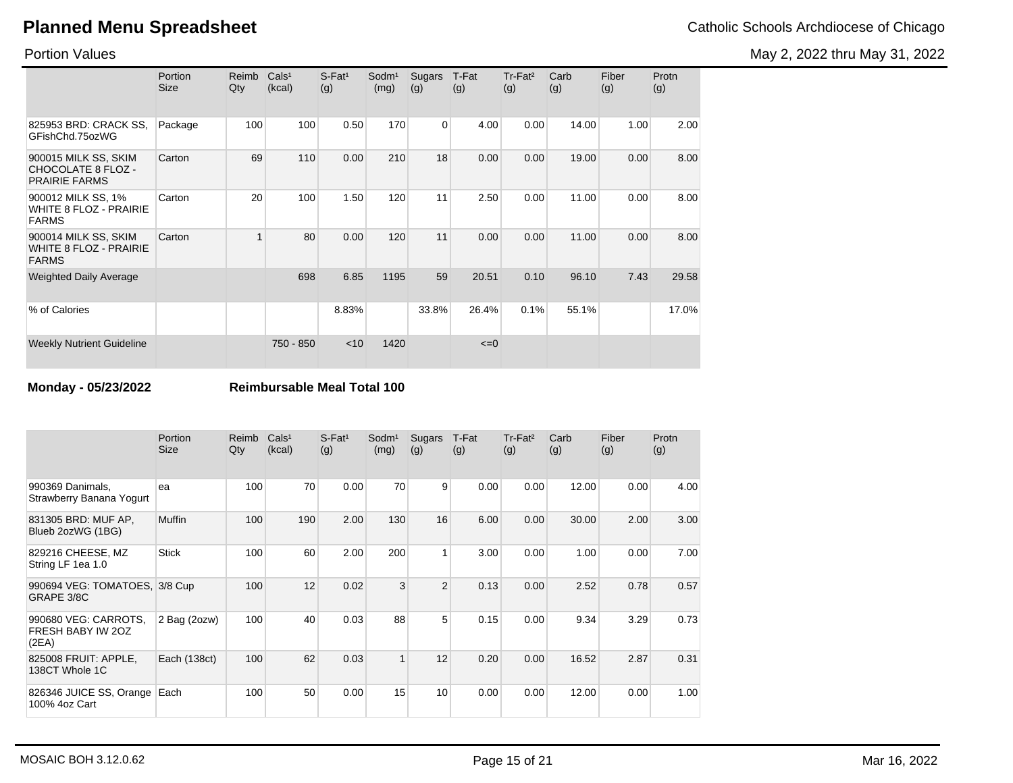May 2, 2022 thru May 31, 2022

Portion Values

|                                                                       | Portion<br><b>Size</b> | Reimb<br>Qty | Cals <sup>1</sup><br>(kcal) | $S$ -Fat <sup>1</sup><br>(g) | Sodm <sup>1</sup><br>(mg) | Sugars<br>(g) | T-Fat<br>(g) | Tr-Fat <sup>2</sup><br>(g) | Carb<br>(g) | Fiber<br>(g) | Protn<br>(g) |
|-----------------------------------------------------------------------|------------------------|--------------|-----------------------------|------------------------------|---------------------------|---------------|--------------|----------------------------|-------------|--------------|--------------|
| 825953 BRD: CRACK SS.<br>GFishChd.75ozWG                              | Package                | 100          | 100                         | 0.50                         | 170                       | $\Omega$      | 4.00         | 0.00                       | 14.00       | 1.00         | 2.00         |
| 900015 MILK SS, SKIM<br>CHOCOLATE 8 FLOZ -<br><b>PRAIRIE FARMS</b>    | Carton                 | 69           | 110                         | 0.00                         | 210                       | 18            | 0.00         | 0.00                       | 19.00       | 0.00         | 8.00         |
| 900012 MILK SS, 1%<br><b>WHITE 8 FLOZ - PRAIRIE</b><br><b>FARMS</b>   | Carton                 | 20           | 100                         | 1.50                         | 120                       | 11            | 2.50         | 0.00                       | 11.00       | 0.00         | 8.00         |
| 900014 MILK SS, SKIM<br><b>WHITE 8 FLOZ - PRAIRIE</b><br><b>FARMS</b> | Carton                 | 1            | 80                          | 0.00                         | 120                       | 11            | 0.00         | 0.00                       | 11.00       | 0.00         | 8.00         |
| <b>Weighted Daily Average</b>                                         |                        |              | 698                         | 6.85                         | 1195                      | 59            | 20.51        | 0.10                       | 96.10       | 7.43         | 29.58        |
| % of Calories                                                         |                        |              |                             | 8.83%                        |                           | 33.8%         | 26.4%        | 0.1%                       | 55.1%       |              | 17.0%        |
| <b>Weekly Nutrient Guideline</b>                                      |                        |              | 750 - 850                   | $<$ 10                       | 1420                      |               | $\leq=0$     |                            |             |              |              |

**Monday - 05/23/2022 Reimbursable Meal Total 100**

|                                                    | Portion<br><b>Size</b> | Reimb<br>Qty | Cals <sup>1</sup><br>(kcal) | $S$ -Fat <sup>1</sup><br>(g) | Sodm <sup>1</sup><br>(mg) | <b>Sugars</b><br>(g) | T-Fat<br>(g) | $Tr-Fat2$<br>(g) | Carb<br>(g) | Fiber<br>(g) | Protn<br>(g) |
|----------------------------------------------------|------------------------|--------------|-----------------------------|------------------------------|---------------------------|----------------------|--------------|------------------|-------------|--------------|--------------|
| 990369 Danimals,<br>Strawberry Banana Yogurt       | ea                     | 100          | 70                          | 0.00                         | 70                        | 9                    | 0.00         | 0.00             | 12.00       | 0.00         | 4.00         |
| 831305 BRD: MUF AP,<br>Blueb 2ozWG (1BG)           | <b>Muffin</b>          | 100          | 190                         | 2.00                         | 130                       | 16                   | 6.00         | 0.00             | 30.00       | 2.00         | 3.00         |
| 829216 CHEESE, MZ<br>String LF 1ea 1.0             | <b>Stick</b>           | 100          | 60                          | 2.00                         | 200                       | 1                    | 3.00         | 0.00             | 1.00        | 0.00         | 7.00         |
| 990694 VEG: TOMATOES, 3/8 Cup<br>GRAPE 3/8C        |                        | 100          | 12                          | 0.02                         | 3                         | 2                    | 0.13         | 0.00             | 2.52        | 0.78         | 0.57         |
| 990680 VEG: CARROTS.<br>FRESH BABY IW 20Z<br>(2EA) | 2 Bag (2ozw)           | 100          | 40                          | 0.03                         | 88                        | 5                    | 0.15         | 0.00             | 9.34        | 3.29         | 0.73         |
| 825008 FRUIT: APPLE,<br>138CT Whole 1C             | Each (138ct)           | 100          | 62                          | 0.03                         | 1                         | 12                   | 0.20         | 0.00             | 16.52       | 2.87         | 0.31         |
| 826346 JUICE SS, Orange<br>100% 4oz Cart           | Each                   | 100          | 50                          | 0.00                         | 15                        | 10 <sup>1</sup>      | 0.00         | 0.00             | 12.00       | 0.00         | 1.00         |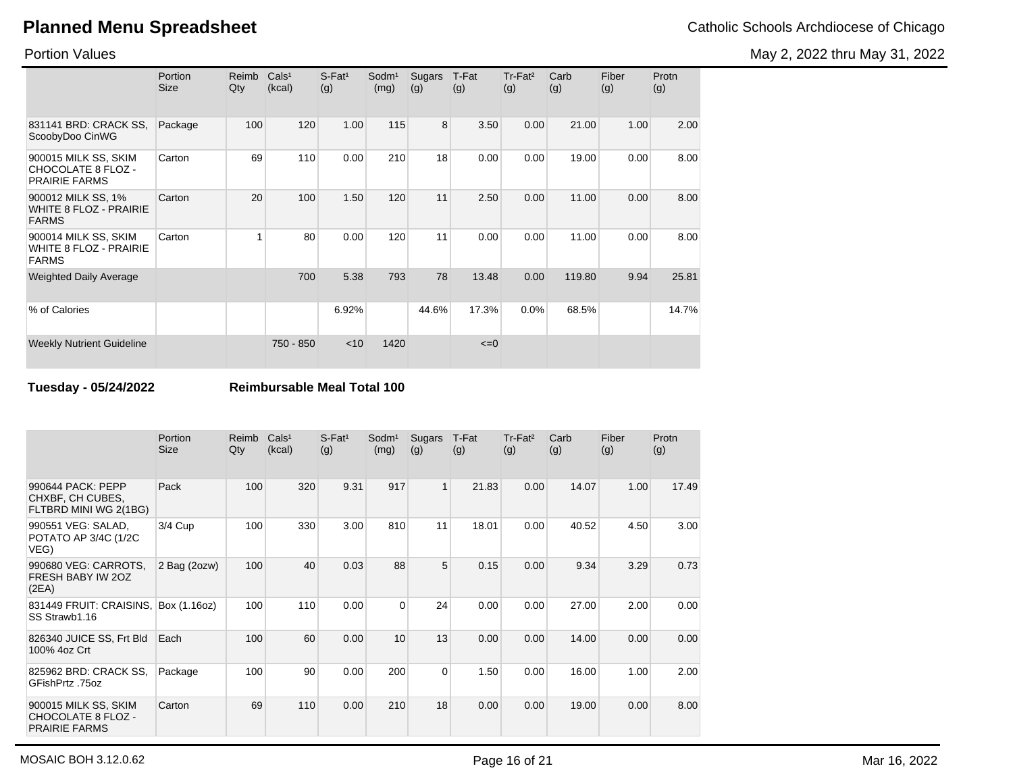May 2, 2022 thru May 31, 2022

Portion Values

|                                                                       | Portion<br><b>Size</b> | Reimb<br>Qty | Cals <sup>1</sup><br>(kcal) | $S$ -Fat <sup>1</sup><br>(g) | Sodm <sup>1</sup><br>(mg) | Sugars<br>(g) | T-Fat<br>(g) | $Tr-Fat2$<br>(g) | Carb<br>(g) | Fiber<br>(g) | Protn<br>(g) |
|-----------------------------------------------------------------------|------------------------|--------------|-----------------------------|------------------------------|---------------------------|---------------|--------------|------------------|-------------|--------------|--------------|
| 831141 BRD: CRACK SS,<br>ScoobyDoo CinWG                              | Package                | 100          | 120                         | 1.00                         | 115                       | 8             | 3.50         | 0.00             | 21.00       | 1.00         | 2.00         |
| 900015 MILK SS, SKIM<br>CHOCOLATE 8 FLOZ -<br><b>PRAIRIE FARMS</b>    | Carton                 | 69           | 110                         | 0.00                         | 210                       | 18            | 0.00         | 0.00             | 19.00       | 0.00         | 8.00         |
| 900012 MILK SS, 1%<br><b>WHITE 8 FLOZ - PRAIRIE</b><br><b>FARMS</b>   | Carton                 | 20           | 100                         | 1.50                         | 120                       | 11            | 2.50         | 0.00             | 11.00       | 0.00         | 8.00         |
| 900014 MILK SS, SKIM<br><b>WHITE 8 FLOZ - PRAIRIE</b><br><b>FARMS</b> | Carton                 |              | 80                          | 0.00                         | 120                       | 11            | 0.00         | 0.00             | 11.00       | 0.00         | 8.00         |
| <b>Weighted Daily Average</b>                                         |                        |              | 700                         | 5.38                         | 793                       | 78            | 13.48        | 0.00             | 119.80      | 9.94         | 25.81        |
| % of Calories                                                         |                        |              |                             | 6.92%                        |                           | 44.6%         | 17.3%        | 0.0%             | 68.5%       |              | 14.7%        |
| <b>Weekly Nutrient Guideline</b>                                      |                        |              | 750 - 850                   | $<$ 10                       | 1420                      |               | $\leq=0$     |                  |             |              |              |

**Tuesday - 05/24/2022 Reimbursable Meal Total 100**

|                                                                    | Portion<br><b>Size</b> | Reimb<br>Qty | Cals <sup>1</sup><br>(kcal) | $S$ -Fat <sup>1</sup><br>(g) | Sodm <sup>1</sup><br>(mg) | Sugars<br>(g)  | T-Fat<br>(g) | Tr-Fat <sup>2</sup><br>(g) | Carb<br>(g) | Fiber<br>(g) | Protn<br>(g) |
|--------------------------------------------------------------------|------------------------|--------------|-----------------------------|------------------------------|---------------------------|----------------|--------------|----------------------------|-------------|--------------|--------------|
| 990644 PACK: PEPP<br>CHXBF, CH CUBES,<br>FLTBRD MINI WG 2(1BG)     | Pack                   | 100          | 320                         | 9.31                         | 917                       | $\mathbf{1}$   | 21.83        | 0.00                       | 14.07       | 1.00         | 17.49        |
| 990551 VEG: SALAD,<br>POTATO AP 3/4C (1/2C<br>VEG)                 | 3/4 Cup                | 100          | 330                         | 3.00                         | 810                       | 11             | 18.01        | 0.00                       | 40.52       | 4.50         | 3.00         |
| 990680 VEG: CARROTS,<br>FRESH BABY IW 20Z<br>(2EA)                 | 2 Bag (2ozw)           | 100          | 40                          | 0.03                         | 88                        | 5              | 0.15         | 0.00                       | 9.34        | 3.29         | 0.73         |
| 831449 FRUIT: CRAISINS,<br>SS Strawb1.16                           | Box (1.16oz)           | 100          | 110                         | 0.00                         | $\Omega$                  | 24             | 0.00         | 0.00                       | 27.00       | 2.00         | 0.00         |
| 826340 JUICE SS, Frt Bld<br>100% 4oz Crt                           | Each                   | 100          | 60                          | 0.00                         | 10                        | 13             | 0.00         | 0.00                       | 14.00       | 0.00         | 0.00         |
| 825962 BRD: CRACK SS,<br>GFishPrtz .75oz                           | Package                | 100          | 90                          | 0.00                         | 200                       | $\overline{0}$ | 1.50         | 0.00                       | 16.00       | 1.00         | 2.00         |
| 900015 MILK SS, SKIM<br>CHOCOLATE 8 FLOZ -<br><b>PRAIRIE FARMS</b> | Carton                 | 69           | 110                         | 0.00                         | 210                       | 18             | 0.00         | 0.00                       | 19.00       | 0.00         | 8.00         |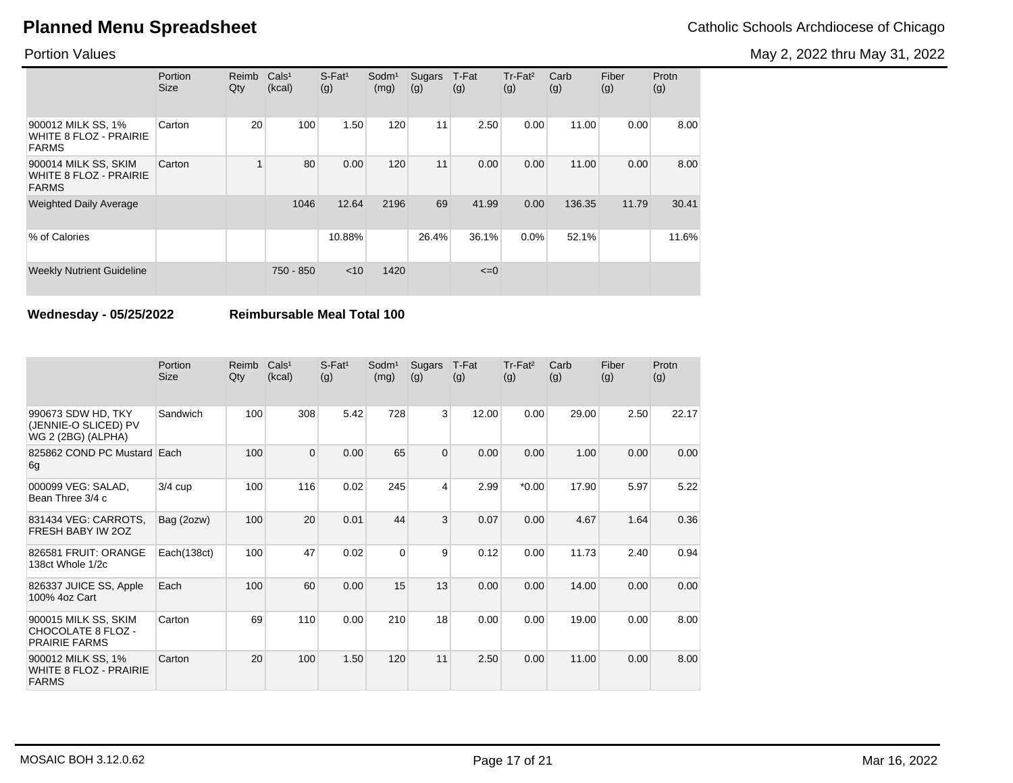May 2, 2022 thru May 31, 2022

Portion Values

|                                                                       | Portion<br><b>Size</b> | Reimb<br>Qty | Cals <sup>1</sup><br>(kcal) | $S-Fat1$<br>(g) | Sodm <sup>1</sup><br>(mg) | Sugars<br>(g) | T-Fat<br>(g) | $Tr-Fat2$<br>(g) | Carb<br>(g) | Fiber<br>(g) | Protn<br>(g) |
|-----------------------------------------------------------------------|------------------------|--------------|-----------------------------|-----------------|---------------------------|---------------|--------------|------------------|-------------|--------------|--------------|
| 900012 MILK SS, 1%<br>WHITE 8 FLOZ - PRAIRIE<br><b>FARMS</b>          | Carton                 | 20           | 100                         | 1.50            | 120                       | 11            | 2.50         | 0.00             | 11.00       | 0.00         | 8.00         |
| 900014 MILK SS, SKIM<br><b>WHITE 8 FLOZ - PRAIRIE</b><br><b>FARMS</b> | Carton                 |              | 80                          | 0.00            | 120                       | 11            | 0.00         | 0.00             | 11.00       | 0.00         | 8.00         |
| <b>Weighted Daily Average</b>                                         |                        |              | 1046                        | 12.64           | 2196                      | 69            | 41.99        | 0.00             | 136.35      | 11.79        | 30.41        |
| % of Calories                                                         |                        |              |                             | 10.88%          |                           | 26.4%         | 36.1%        | $0.0\%$          | 52.1%       |              | 11.6%        |
| <b>Weekly Nutrient Guideline</b>                                      |                        |              | 750 - 850                   | $<$ 10          | 1420                      |               | $\leq=0$     |                  |             |              |              |

**Wednesday - 05/25/2022 Reimbursable Meal Total 100**

|                                                                     | Portion<br><b>Size</b> | Reimb<br>Qty | Cals <sup>1</sup><br>(kcal) | $S$ -Fat <sup>1</sup><br>(g) | Sodm <sup>1</sup><br>(mg) | Sugars<br>(g)  | T-Fat<br>(g) | Tr-Fat <sup>2</sup><br>(g) | Carb<br>(g) | Fiber<br>(g) | Protn<br>(g) |
|---------------------------------------------------------------------|------------------------|--------------|-----------------------------|------------------------------|---------------------------|----------------|--------------|----------------------------|-------------|--------------|--------------|
| 990673 SDW HD, TKY<br>(JENNIE-O SLICED) PV<br>WG 2 (2BG) (ALPHA)    | Sandwich               | 100          | 308                         | 5.42                         | 728                       | 3              | 12.00        | 0.00                       | 29.00       | 2.50         | 22.17        |
| 825862 COND PC Mustard Each<br>6g                                   |                        | 100          | $\overline{0}$              | 0.00                         | 65                        | $\overline{0}$ | 0.00         | 0.00                       | 1.00        | 0.00         | 0.00         |
| 000099 VEG: SALAD,<br>Bean Three 3/4 c                              | $3/4$ cup              | 100          | 116                         | 0.02                         | 245                       | 4              | 2.99         | $*0.00$                    | 17.90       | 5.97         | 5.22         |
| 831434 VEG: CARROTS,<br>FRESH BABY IW 20Z                           | Bag (2ozw)             | 100          | 20                          | 0.01                         | 44                        | 3              | 0.07         | 0.00                       | 4.67        | 1.64         | 0.36         |
| 826581 FRUIT: ORANGE<br>138ct Whole 1/2c                            | Each(138ct)            | 100          | 47                          | 0.02                         | $\Omega$                  | 9              | 0.12         | 0.00                       | 11.73       | 2.40         | 0.94         |
| 826337 JUICE SS, Apple<br>100% 4oz Cart                             | Each                   | 100          | 60                          | 0.00                         | 15                        | 13             | 0.00         | 0.00                       | 14.00       | 0.00         | 0.00         |
| 900015 MILK SS, SKIM<br>CHOCOLATE 8 FLOZ -<br><b>PRAIRIE FARMS</b>  | Carton                 | 69           | 110                         | 0.00                         | 210                       | 18             | 0.00         | 0.00                       | 19.00       | 0.00         | 8.00         |
| 900012 MILK SS, 1%<br><b>WHITE 8 FLOZ - PRAIRIE</b><br><b>FARMS</b> | Carton                 | 20           | 100                         | 1.50                         | 120                       | 11             | 2.50         | 0.00                       | 11.00       | 0.00         | 8.00         |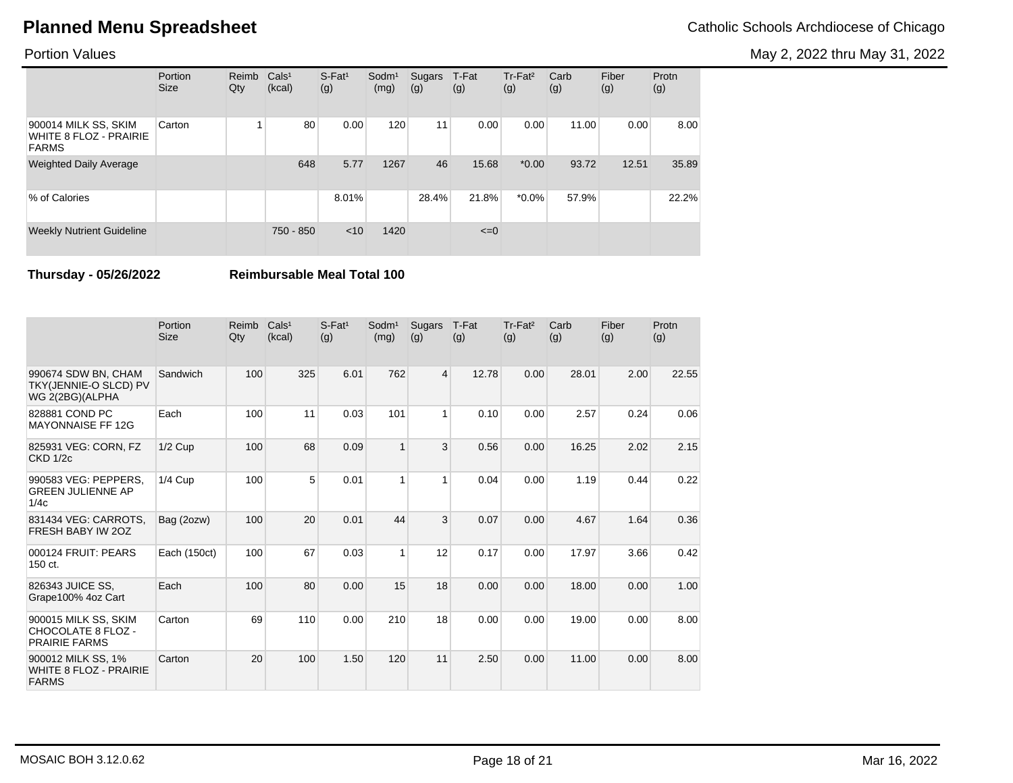May 2, 2022 thru May 31, 2022

#### Portion Values

|                                                                       | Portion<br><b>Size</b> | Reimb<br>Qty | Cals <sup>1</sup><br>(kcal) | $S$ -Fat <sup>1</sup><br>(g) | $S$ odm $1$<br>(mg) | Sugars<br>(g) | T-Fat<br>(g) | Tr-Fat <sup>2</sup><br>(g) | Carb<br>(g) | Fiber<br>(g) | Protn<br>(g) |
|-----------------------------------------------------------------------|------------------------|--------------|-----------------------------|------------------------------|---------------------|---------------|--------------|----------------------------|-------------|--------------|--------------|
| 900014 MILK SS, SKIM<br><b>WHITE 8 FLOZ - PRAIRIE</b><br><b>FARMS</b> | Carton                 |              | 80                          | 0.00                         | 120                 | 11            | 0.00         | 0.00                       | 11.00       | 0.00         | 8.00         |
| <b>Weighted Daily Average</b>                                         |                        |              | 648                         | 5.77                         | 1267                | 46            | 15.68        | $*0.00$                    | 93.72       | 12.51        | 35.89        |
| % of Calories                                                         |                        |              |                             | 8.01%                        |                     | 28.4%         | 21.8%        | $*0.0\%$                   | 57.9%       |              | 22.2%        |
| <b>Weekly Nutrient Guideline</b>                                      |                        |              | 750 - 850                   | < 10                         | 1420                |               | $\leq=0$     |                            |             |              |              |

**Thursday - 05/26/2022 Reimbursable Meal Total 100**

|                                                                     | Portion<br><b>Size</b> | Reimb<br>Qty | Cals <sup>1</sup><br>(kcal) | $S$ -Fat <sup>1</sup><br>(g) | Sodm <sup>1</sup><br>(mg) | Sugars<br>(g) | T-Fat<br>(g) | Tr-Fat <sup>2</sup><br>(g) | Carb<br>(g) | Fiber<br>(g) | Protn<br>(g) |
|---------------------------------------------------------------------|------------------------|--------------|-----------------------------|------------------------------|---------------------------|---------------|--------------|----------------------------|-------------|--------------|--------------|
| 990674 SDW BN, CHAM<br>TKY(JENNIE-O SLCD) PV<br>WG 2(2BG)(ALPHA     | Sandwich               | 100          | 325                         | 6.01                         | 762                       | 4             | 12.78        | 0.00                       | 28.01       | 2.00         | 22.55        |
| 828881 COND PC<br><b>MAYONNAISE FF 12G</b>                          | Each                   | 100          | 11                          | 0.03                         | 101                       | $\mathbf{1}$  | 0.10         | 0.00                       | 2.57        | 0.24         | 0.06         |
| 825931 VEG: CORN, FZ<br><b>CKD 1/2c</b>                             | $1/2$ Cup              | 100          | 68                          | 0.09                         | $\mathbf{1}$              | 3             | 0.56         | 0.00                       | 16.25       | 2.02         | 2.15         |
| 990583 VEG: PEPPERS,<br><b>GREEN JULIENNE AP</b><br>1/4c            | $1/4$ Cup              | 100          | 5                           | 0.01                         | 1                         | $\mathbf{1}$  | 0.04         | 0.00                       | 1.19        | 0.44         | 0.22         |
| 831434 VEG: CARROTS,<br>FRESH BABY IW 20Z                           | Bag (2ozw)             | 100          | 20                          | 0.01                         | 44                        | 3             | 0.07         | 0.00                       | 4.67        | 1.64         | 0.36         |
| 000124 FRUIT: PEARS<br>150 ct.                                      | Each (150ct)           | 100          | 67                          | 0.03                         | $\overline{1}$            | 12            | 0.17         | 0.00                       | 17.97       | 3.66         | 0.42         |
| 826343 JUICE SS,<br>Grape100% 4oz Cart                              | Each                   | 100          | 80                          | 0.00                         | 15                        | 18            | 0.00         | 0.00                       | 18.00       | 0.00         | 1.00         |
| 900015 MILK SS, SKIM<br>CHOCOLATE 8 FLOZ -<br><b>PRAIRIE FARMS</b>  | Carton                 | 69           | 110                         | 0.00                         | 210                       | 18            | 0.00         | 0.00                       | 19.00       | 0.00         | 8.00         |
| 900012 MILK SS, 1%<br><b>WHITE 8 FLOZ - PRAIRIE</b><br><b>FARMS</b> | Carton                 | 20           | 100                         | 1.50                         | 120                       | 11            | 2.50         | 0.00                       | 11.00       | 0.00         | 8.00         |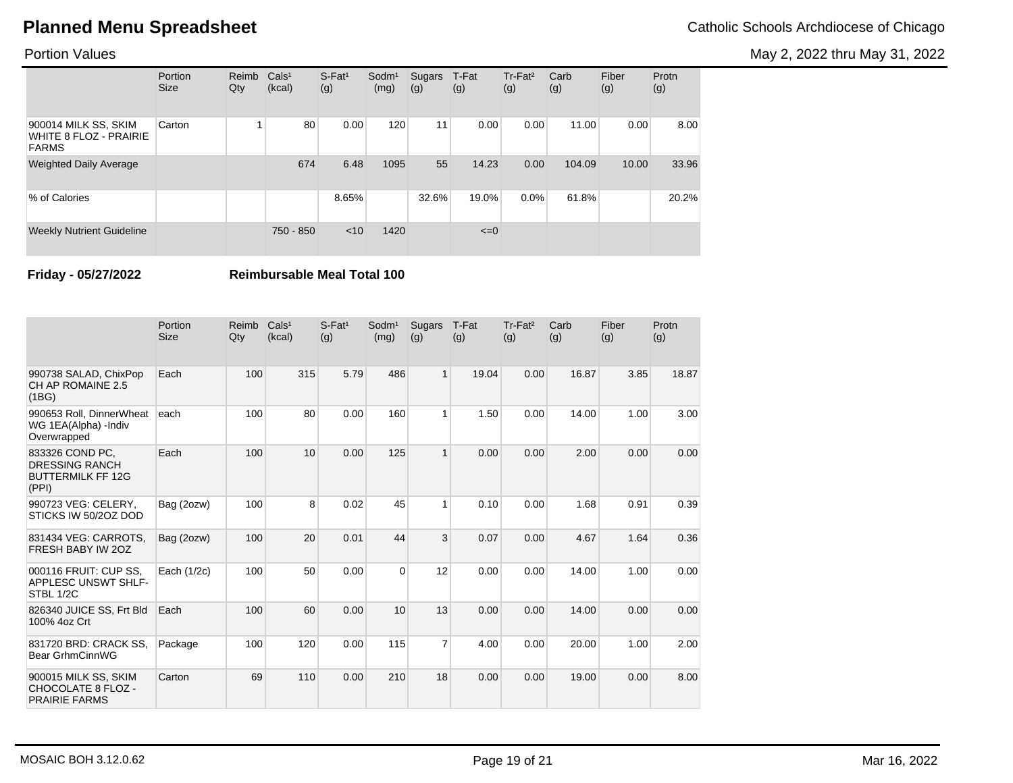May 2, 2022 thru May 31, 2022

#### Portion Values

|                                                                | Portion<br><b>Size</b> | Reimb<br>Qty | Cals <sup>1</sup><br>(kcal) | $S$ -Fat <sup>1</sup><br>(g) | $S$ odm $1$<br>(mg) | Sugars<br>(g) | T-Fat<br>(g) | $Tr-Fat2$<br>(g) | Carb<br>(g) | Fiber<br>(g) | Protn<br>(g) |
|----------------------------------------------------------------|------------------------|--------------|-----------------------------|------------------------------|---------------------|---------------|--------------|------------------|-------------|--------------|--------------|
| 900014 MILK SS, SKIM<br>WHITE 8 FLOZ - PRAIRIE<br><b>FARMS</b> | Carton                 |              | 80                          | 0.00                         | 120                 | 11            | 0.00         | 0.00             | 11.00       | 0.00         | 8.00         |
| <b>Weighted Daily Average</b>                                  |                        |              | 674                         | 6.48                         | 1095                | 55            | 14.23        | 0.00             | 104.09      | 10.00        | 33.96        |
| % of Calories                                                  |                        |              |                             | 8.65%                        |                     | 32.6%         | 19.0%        | $0.0\%$          | 61.8%       |              | 20.2%        |
| <b>Weekly Nutrient Guideline</b>                               |                        |              | 750 - 850                   | < 10                         | 1420                |               | $\leq=0$     |                  |             |              |              |

**Friday - 05/27/2022 Reimbursable Meal Total 100**

|                                                                               | Portion<br><b>Size</b> | Reimb<br>Qty | Cals <sup>1</sup><br>(kcal) | $S$ -Fat <sup>1</sup><br>(g) | $S$ odm $1$<br>(mg) | Sugars<br>(g)  | T-Fat<br>(g) | Tr-Fat <sup>2</sup><br>(g) | Carb<br>(g) | Fiber<br>(g) | Protn<br>(g) |
|-------------------------------------------------------------------------------|------------------------|--------------|-----------------------------|------------------------------|---------------------|----------------|--------------|----------------------------|-------------|--------------|--------------|
| 990738 SALAD, ChixPop<br>CH AP ROMAINE 2.5<br>(1BG)                           | Each                   | 100          | 315                         | 5.79                         | 486                 | $\mathbf{1}$   | 19.04        | 0.00                       | 16.87       | 3.85         | 18.87        |
| 990653 Roll. DinnerWheat<br>WG 1EA(Alpha) - Indiv<br>Overwrapped              | each                   | 100          | 80                          | 0.00                         | 160                 | 1              | 1.50         | 0.00                       | 14.00       | 1.00         | 3.00         |
| 833326 COND PC,<br><b>DRESSING RANCH</b><br><b>BUTTERMILK FF 12G</b><br>(PPI) | Each                   | 100          | 10                          | 0.00                         | 125                 | $\mathbf{1}$   | 0.00         | 0.00                       | 2.00        | 0.00         | 0.00         |
| 990723 VEG: CELERY,<br>STICKS IW 50/2OZ DOD                                   | Bag (2ozw)             | 100          | 8                           | 0.02                         | 45                  | $\mathbf{1}$   | 0.10         | 0.00                       | 1.68        | 0.91         | 0.39         |
| 831434 VEG: CARROTS,<br>FRESH BABY IW 20Z                                     | Bag (2ozw)             | 100          | 20                          | 0.01                         | 44                  | 3              | 0.07         | 0.00                       | 4.67        | 1.64         | 0.36         |
| 000116 FRUIT: CUP SS.<br><b>APPLESC UNSWT SHLF-</b><br>STBL 1/2C              | Each (1/2c)            | 100          | 50                          | 0.00                         | $\Omega$            | 12             | 0.00         | 0.00                       | 14.00       | 1.00         | 0.00         |
| 826340 JUICE SS, Frt Bld<br>100% 4oz Crt                                      | Each                   | 100          | 60                          | 0.00                         | 10                  | 13             | 0.00         | 0.00                       | 14.00       | 0.00         | 0.00         |
| 831720 BRD: CRACK SS.<br>Bear GrhmCinnWG                                      | Package                | 100          | 120                         | 0.00                         | 115                 | $\overline{7}$ | 4.00         | 0.00                       | 20.00       | 1.00         | 2.00         |
| 900015 MILK SS, SKIM<br><b>CHOCOLATE 8 FLOZ -</b><br><b>PRAIRIE FARMS</b>     | Carton                 | 69           | 110                         | 0.00                         | 210                 | 18             | 0.00         | 0.00                       | 19.00       | 0.00         | 8.00         |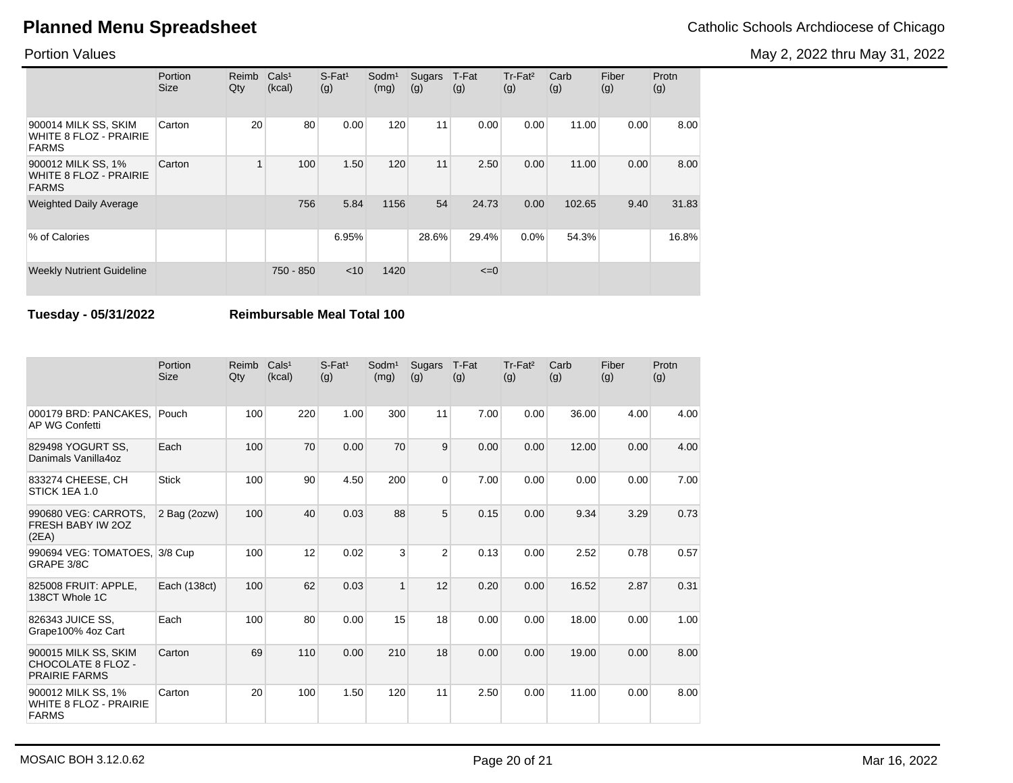May 2, 2022 thru May 31, 2022

#### Portion Values

|                                                                     | Portion<br><b>Size</b> | Reimb<br>Qty | Cals <sup>1</sup><br>(kcal) | $S$ -Fat <sup>1</sup><br>(g) | Sodm <sup>1</sup><br>(mg) | Sugars<br>(g) | T-Fat<br>(g) | Tr-Fat <sup>2</sup><br>(g) | Carb<br>(g) | Fiber<br>(g) | Protn<br>(g) |
|---------------------------------------------------------------------|------------------------|--------------|-----------------------------|------------------------------|---------------------------|---------------|--------------|----------------------------|-------------|--------------|--------------|
| 900014 MILK SS, SKIM<br>WHITE 8 FLOZ - PRAIRIE<br><b>FARMS</b>      | Carton                 | 20           | 80                          | 0.00                         | 120                       | 11            | 0.00         | 0.00                       | 11.00       | 0.00         | 8.00         |
| 900012 MILK SS, 1%<br><b>WHITE 8 FLOZ - PRAIRIE</b><br><b>FARMS</b> | Carton                 | $\mathbf{1}$ | 100                         | 1.50                         | 120                       | 11            | 2.50         | 0.00                       | 11.00       | 0.00         | 8.00         |
| <b>Weighted Daily Average</b>                                       |                        |              | 756                         | 5.84                         | 1156                      | 54            | 24.73        | 0.00                       | 102.65      | 9.40         | 31.83        |
| % of Calories                                                       |                        |              |                             | 6.95%                        |                           | 28.6%         | 29.4%        | 0.0%                       | 54.3%       |              | 16.8%        |
| <b>Weekly Nutrient Guideline</b>                                    |                        |              | 750 - 850                   | $<$ 10                       | 1420                      |               | $\leq=0$     |                            |             |              |              |

**Tuesday - 05/31/2022 Reimbursable Meal Total 100**

|                                                                     | Portion<br><b>Size</b> | Reimb<br>Qty | Cals <sup>1</sup><br>(kcal) | $S$ -Fat <sup>1</sup><br>(g) | Sodm <sup>1</sup><br>(mg) | Sugars<br>(g)  | T-Fat<br>(g) | Tr-Fat <sup>2</sup><br>(g) | Carb<br>(g) | Fiber<br>(g) | Protn<br>(g) |
|---------------------------------------------------------------------|------------------------|--------------|-----------------------------|------------------------------|---------------------------|----------------|--------------|----------------------------|-------------|--------------|--------------|
| 000179 BRD: PANCAKES.<br>AP WG Confetti                             | Pouch                  | 100          | 220                         | 1.00                         | 300                       | 11             | 7.00         | 0.00                       | 36.00       | 4.00         | 4.00         |
| 829498 YOGURT SS.<br>Danimals Vanilla4oz                            | Each                   | 100          | 70                          | 0.00                         | 70                        | 9              | 0.00         | 0.00                       | 12.00       | 0.00         | 4.00         |
| 833274 CHEESE, CH<br>STICK 1EA 1.0                                  | <b>Stick</b>           | 100          | 90                          | 4.50                         | 200                       | $\Omega$       | 7.00         | 0.00                       | 0.00        | 0.00         | 7.00         |
| 990680 VEG: CARROTS,<br>FRESH BABY IW 20Z<br>(2EA)                  | 2 Bag (2ozw)           | 100          | 40                          | 0.03                         | 88                        | 5              | 0.15         | 0.00                       | 9.34        | 3.29         | 0.73         |
| 990694 VEG: TOMATOES, 3/8 Cup<br>GRAPE 3/8C                         |                        | 100          | 12                          | 0.02                         | 3                         | $\overline{2}$ | 0.13         | 0.00                       | 2.52        | 0.78         | 0.57         |
| 825008 FRUIT: APPLE.<br>138CT Whole 1C                              | Each (138ct)           | 100          | 62                          | 0.03                         | $\overline{1}$            | 12             | 0.20         | 0.00                       | 16.52       | 2.87         | 0.31         |
| 826343 JUICE SS,<br>Grape100% 4oz Cart                              | Each                   | 100          | 80                          | 0.00                         | 15                        | 18             | 0.00         | 0.00                       | 18.00       | 0.00         | 1.00         |
| 900015 MILK SS, SKIM<br>CHOCOLATE 8 FLOZ -<br><b>PRAIRIE FARMS</b>  | Carton                 | 69           | 110                         | 0.00                         | 210                       | 18             | 0.00         | 0.00                       | 19.00       | 0.00         | 8.00         |
| 900012 MILK SS, 1%<br><b>WHITE 8 FLOZ - PRAIRIE</b><br><b>FARMS</b> | Carton                 | 20           | 100                         | 1.50                         | 120                       | 11             | 2.50         | 0.00                       | 11.00       | 0.00         | 8.00         |